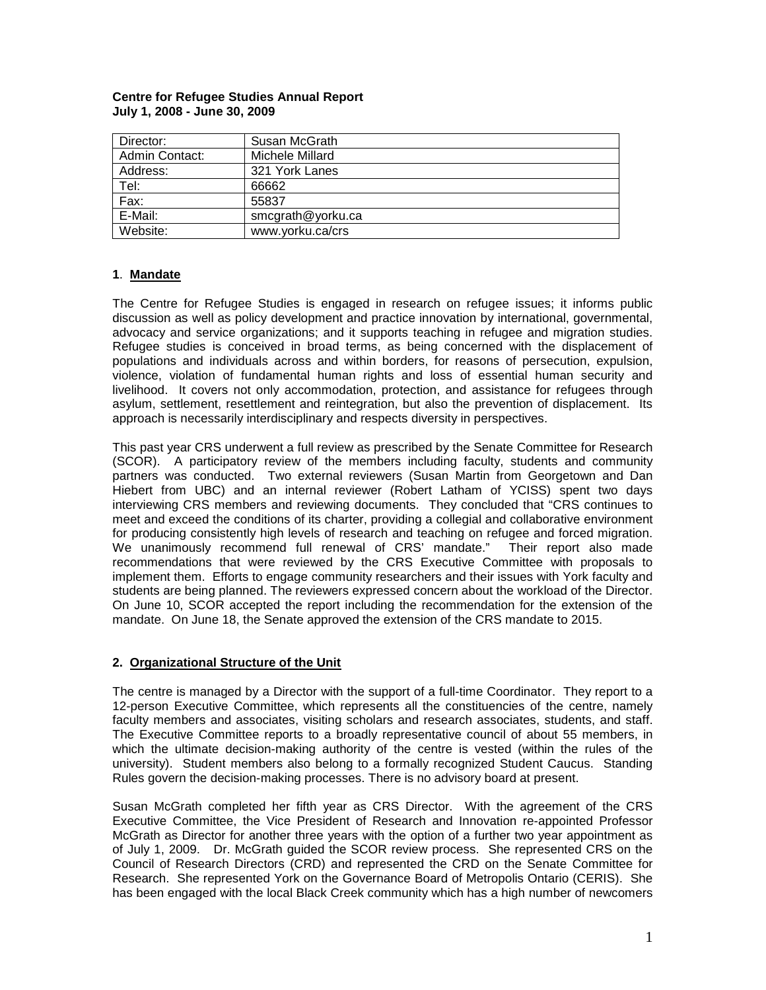| Director:      | Susan McGrath     |
|----------------|-------------------|
| Admin Contact: | Michele Millard   |
| Address:       | 321 York Lanes    |
| Tel:           | 66662             |
| Fax:           | 55837             |
| E-Mail:        | smcgrath@yorku.ca |
| Website:       | www.yorku.ca/crs  |

#### **Centre for Refugee Studies Annual Report July 1, 2008 - June 30, 2009**

## **1**. **Mandate**

The Centre for Refugee Studies is engaged in research on refugee issues; it informs public discussion as well as policy development and practice innovation by international, governmental, advocacy and service organizations; and it supports teaching in refugee and migration studies. Refugee studies is conceived in broad terms, as being concerned with the displacement of populations and individuals across and within borders, for reasons of persecution, expulsion, violence, violation of fundamental human rights and loss of essential human security and livelihood. It covers not only accommodation, protection, and assistance for refugees through asylum, settlement, resettlement and reintegration, but also the prevention of displacement. Its approach is necessarily interdisciplinary and respects diversity in perspectives.

This past year CRS underwent a full review as prescribed by the Senate Committee for Research (SCOR). A participatory review of the members including faculty, students and community partners was conducted. Two external reviewers (Susan Martin from Georgetown and Dan Hiebert from UBC) and an internal reviewer (Robert Latham of YCISS) spent two days interviewing CRS members and reviewing documents. They concluded that "CRS continues to meet and exceed the conditions of its charter, providing a collegial and collaborative environment for producing consistently high levels of research and teaching on refugee and forced migration. We unanimously recommend full renewal of CRS' mandate." Their report also made recommendations that were reviewed by the CRS Executive Committee with proposals to implement them. Efforts to engage community researchers and their issues with York faculty and students are being planned. The reviewers expressed concern about the workload of the Director. On June 10, SCOR accepted the report including the recommendation for the extension of the mandate. On June 18, the Senate approved the extension of the CRS mandate to 2015.

#### **2. Organizational Structure of the Unit**

The centre is managed by a Director with the support of a full-time Coordinator. They report to a 12-person Executive Committee, which represents all the constituencies of the centre, namely faculty members and associates, visiting scholars and research associates, students, and staff. The Executive Committee reports to a broadly representative council of about 55 members, in which the ultimate decision-making authority of the centre is vested (within the rules of the university). Student members also belong to a formally recognized Student Caucus. Standing Rules govern the decision-making processes. There is no advisory board at present.

Susan McGrath completed her fifth year as CRS Director. With the agreement of the CRS Executive Committee, the Vice President of Research and Innovation re-appointed Professor McGrath as Director for another three years with the option of a further two year appointment as of July 1, 2009. Dr. McGrath guided the SCOR review process. She represented CRS on the Council of Research Directors (CRD) and represented the CRD on the Senate Committee for Research. She represented York on the Governance Board of Metropolis Ontario (CERIS). She has been engaged with the local Black Creek community which has a high number of newcomers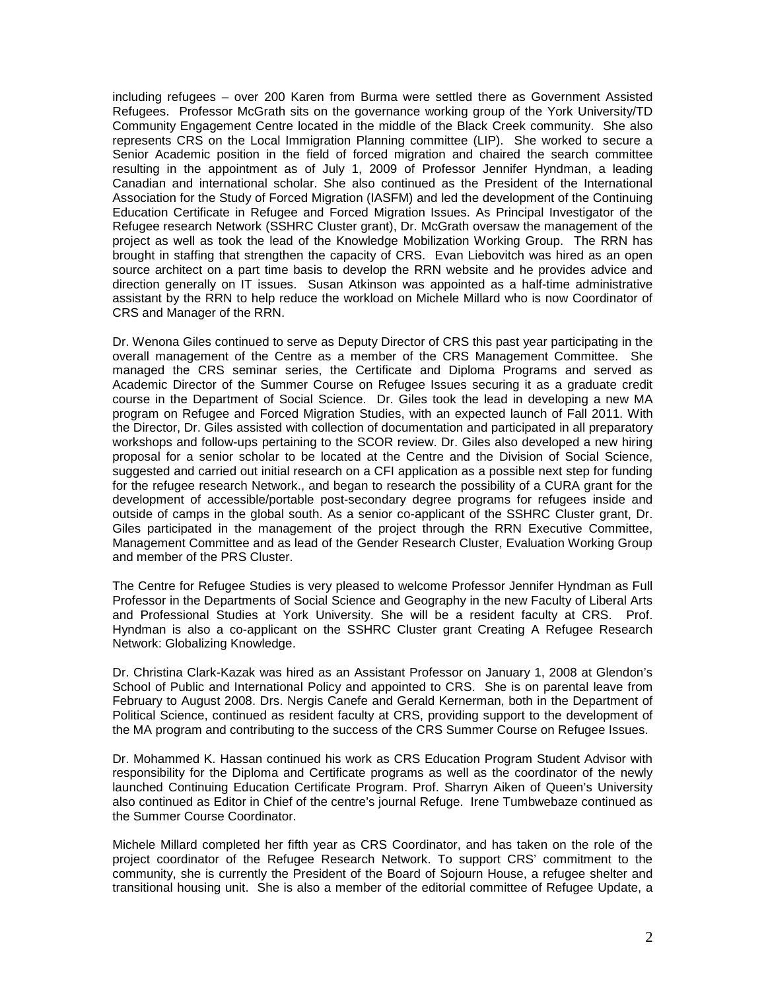including refugees – over 200 Karen from Burma were settled there as Government Assisted Refugees. Professor McGrath sits on the governance working group of the York University/TD Community Engagement Centre located in the middle of the Black Creek community. She also represents CRS on the Local Immigration Planning committee (LIP). She worked to secure a Senior Academic position in the field of forced migration and chaired the search committee resulting in the appointment as of July 1, 2009 of Professor Jennifer Hyndman, a leading Canadian and international scholar. She also continued as the President of the International Association for the Study of Forced Migration (IASFM) and led the development of the Continuing Education Certificate in Refugee and Forced Migration Issues. As Principal Investigator of the Refugee research Network (SSHRC Cluster grant), Dr. McGrath oversaw the management of the project as well as took the lead of the Knowledge Mobilization Working Group. The RRN has brought in staffing that strengthen the capacity of CRS. Evan Liebovitch was hired as an open source architect on a part time basis to develop the RRN website and he provides advice and direction generally on IT issues. Susan Atkinson was appointed as a half-time administrative assistant by the RRN to help reduce the workload on Michele Millard who is now Coordinator of CRS and Manager of the RRN.

Dr. Wenona Giles continued to serve as Deputy Director of CRS this past year participating in the overall management of the Centre as a member of the CRS Management Committee. She managed the CRS seminar series, the Certificate and Diploma Programs and served as Academic Director of the Summer Course on Refugee Issues securing it as a graduate credit course in the Department of Social Science. Dr. Giles took the lead in developing a new MA program on Refugee and Forced Migration Studies, with an expected launch of Fall 2011. With the Director, Dr. Giles assisted with collection of documentation and participated in all preparatory workshops and follow-ups pertaining to the SCOR review. Dr. Giles also developed a new hiring proposal for a senior scholar to be located at the Centre and the Division of Social Science, suggested and carried out initial research on a CFI application as a possible next step for funding for the refugee research Network., and began to research the possibility of a CURA grant for the development of accessible/portable post-secondary degree programs for refugees inside and outside of camps in the global south. As a senior co-applicant of the SSHRC Cluster grant, Dr. Giles participated in the management of the project through the RRN Executive Committee, Management Committee and as lead of the Gender Research Cluster, Evaluation Working Group and member of the PRS Cluster.

The Centre for Refugee Studies is very pleased to welcome Professor Jennifer Hyndman as Full Professor in the Departments of Social Science and Geography in the new Faculty of Liberal Arts and Professional Studies at York University. She will be a resident faculty at CRS. Prof. Hyndman is also a co-applicant on the SSHRC Cluster grant Creating A Refugee Research Network: Globalizing Knowledge.

Dr. Christina Clark-Kazak was hired as an Assistant Professor on January 1, 2008 at Glendon's School of Public and International Policy and appointed to CRS. She is on parental leave from February to August 2008. Drs. Nergis Canefe and Gerald Kernerman, both in the Department of Political Science, continued as resident faculty at CRS, providing support to the development of the MA program and contributing to the success of the CRS Summer Course on Refugee Issues.

Dr. Mohammed K. Hassan continued his work as CRS Education Program Student Advisor with responsibility for the Diploma and Certificate programs as well as the coordinator of the newly launched Continuing Education Certificate Program. Prof. Sharryn Aiken of Queen's University also continued as Editor in Chief of the centre's journal Refuge. Irene Tumbwebaze continued as the Summer Course Coordinator.

Michele Millard completed her fifth year as CRS Coordinator, and has taken on the role of the project coordinator of the Refugee Research Network. To support CRS' commitment to the community, she is currently the President of the Board of Sojourn House, a refugee shelter and transitional housing unit. She is also a member of the editorial committee of Refugee Update, a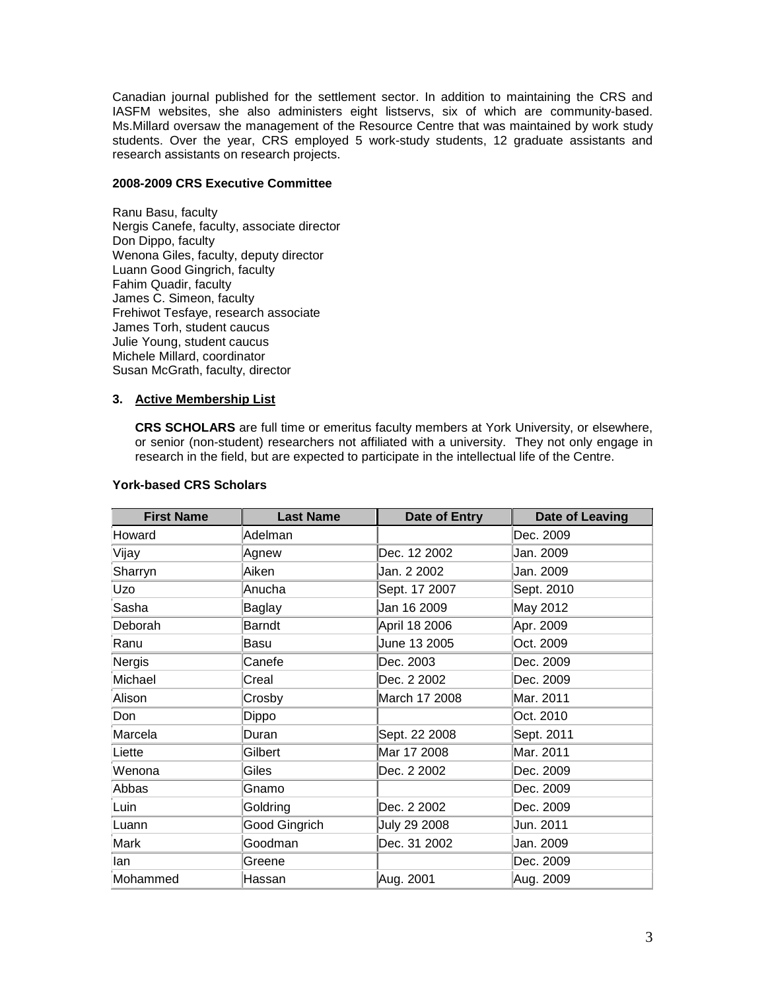Canadian journal published for the settlement sector. In addition to maintaining the CRS and IASFM websites, she also administers eight listservs, six of which are community-based. Ms.Millard oversaw the management of the Resource Centre that was maintained by work study students. Over the year, CRS employed 5 work-study students, 12 graduate assistants and research assistants on research projects.

#### **2008-2009 CRS Executive Committee**

Ranu Basu, faculty Nergis Canefe, faculty, associate director Don Dippo, faculty Wenona Giles, faculty, deputy director Luann Good Gingrich, faculty Fahim Quadir, faculty James C. Simeon, faculty Frehiwot Tesfaye, research associate James Torh, student caucus Julie Young, student caucus Michele Millard, coordinator Susan McGrath, faculty, director

## **3. Active Membership List**

**CRS SCHOLARS** are full time or emeritus faculty members at York University, or elsewhere, or senior (non-student) researchers not affiliated with a university. They not only engage in research in the field, but are expected to participate in the intellectual life of the Centre.

| <b>First Name</b> | <b>Last Name</b> | Date of Entry | <b>Date of Leaving</b> |
|-------------------|------------------|---------------|------------------------|
| Howard            | Adelman          |               | Dec. 2009              |
| Vijay             | Agnew            | Dec. 12 2002  | Jan. 2009              |
| Sharryn           | Aiken            | Jan. 2 2002   | Jan. 2009              |
| Uzo               | Anucha           | Sept. 17 2007 | Sept. 2010             |
| Sasha             | Baglay           | Jan 16 2009   | May 2012               |
| Deborah           | <b>Barndt</b>    | April 18 2006 | Apr. 2009              |
| Ranu              | Basu             | June 13 2005  | Oct. 2009              |
| Nergis            | Canefe           | Dec. 2003     | Dec. 2009              |
| Michael           | Creal            | Dec. 2 2002   | Dec. 2009              |
| Alison            | Crosby           | March 17 2008 | Mar. 2011              |
| Don               | Dippo            |               | Oct. 2010              |
| Marcela           | Duran            | Sept. 22 2008 | Sept. 2011             |
| Liette            | Gilbert          | Mar 17 2008   | Mar. 2011              |
| Wenona            | Giles            | Dec. 2 2002   | Dec. 2009              |
| Abbas             | Gnamo            |               | Dec. 2009              |
| Luin              | Goldring         | Dec. 2 2002   | Dec. 2009              |
| Luann             | Good Gingrich    | July 29 2008  | Jun. 2011              |
| Mark              | Goodman          | Dec. 31 2002  | Jan. 2009              |
| llan              | Greene           |               | Dec. 2009              |
| Mohammed          | Hassan           | Aug. 2001     | Aug. 2009              |

## **York-based CRS Scholars**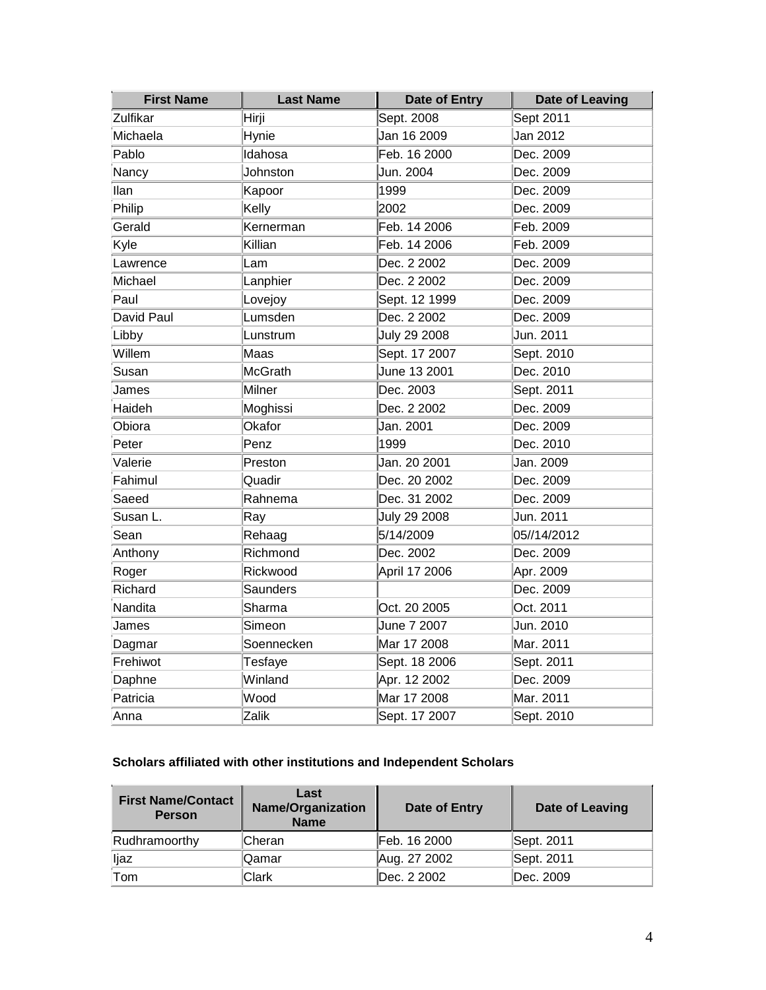| <b>First Name</b> | <b>Last Name</b> | Date of Entry | <b>Date of Leaving</b> |
|-------------------|------------------|---------------|------------------------|
| Zulfikar          | Hirji            | Sept. 2008    | Sept 2011              |
| Michaela          | Hynie            | Jan 16 2009   | Jan 2012               |
| Pablo             | Idahosa          | Feb. 16 2000  | Dec. 2009              |
| Nancy             | Johnston         | Jun. 2004     | Dec. 2009              |
| llan              | Kapoor           | 1999          | Dec. 2009              |
| Philip            | Kelly            | 2002          | Dec. 2009              |
| Gerald            | Kernerman        | Feb. 14 2006  | Feb. 2009              |
| Kyle              | Killian          | Feb. 14 2006  | Feb. 2009              |
| Lawrence          | Lam              | Dec. 2 2002   | Dec. 2009              |
| Michael           | Lanphier         | Dec. 2 2002   | Dec. 2009              |
| Paul              | Lovejoy          | Sept. 12 1999 | Dec. 2009              |
| David Paul        | Lumsden          | Dec. 2 2002   | Dec. 2009              |
| Libby             | Lunstrum         | July 29 2008  | Jun. 2011              |
| Willem            | Maas             | Sept. 17 2007 | Sept. 2010             |
| Susan             | <b>McGrath</b>   | June 13 2001  | Dec. 2010              |
| James             | <b>Milner</b>    | Dec. 2003     | Sept. 2011             |
| Haideh            | Moghissi         | Dec. 2 2002   | Dec. 2009              |
| Obiora            | Okafor           | Jan. 2001     | Dec. 2009              |
| Peter             | Penz             | 1999          | Dec. 2010              |
| Valerie           | Preston          | Jan. 20 2001  | Jan. 2009              |
| Fahimul           | Quadir           | Dec. 20 2002  | Dec. 2009              |
| Saeed             | Rahnema          | Dec. 31 2002  | Dec. 2009              |
| Susan L.          | Ray              | July 29 2008  | Jun. 2011              |
| Sean              | Rehaag           | 5/14/2009     | 05//14/2012            |
| Anthony           | Richmond         | Dec. 2002     | Dec. 2009              |
| Roger             | Rickwood         | April 17 2006 | Apr. 2009              |
| Richard           | <b>Saunders</b>  |               | Dec. 2009              |
| Nandita           | Sharma           | Oct. 20 2005  | Oct. 2011              |
| James             | Simeon           | June 7 2007   | Jun. 2010              |
| Dagmar            | Soennecken       | Mar 17 2008   | Mar. 2011              |
| Frehiwot          | Tesfaye          | Sept. 18 2006 | Sept. 2011             |
| Daphne            | Winland          | Apr. 12 2002  | Dec. 2009              |
| Patricia          | Wood             | Mar 17 2008   | Mar. 2011              |
| Anna              | Zalik            | Sept. 17 2007 | Sept. 2010             |

## **Scholars affiliated with other institutions and Independent Scholars**

| <b>First Name/Contact</b><br><b>Person</b> | Last<br><b>Name/Organization</b><br><b>Name</b> | Date of Entry | Date of Leaving |
|--------------------------------------------|-------------------------------------------------|---------------|-----------------|
| Rudhramoorthy                              | lCheran                                         | Feb. 16 2000  | Sept. 2011      |
| liaz                                       | .Qamar                                          | Aug. 27 2002  | Sept. 2011      |
| Tom                                        | Clark                                           | IDec. 2 2002  | IDec. 2009      |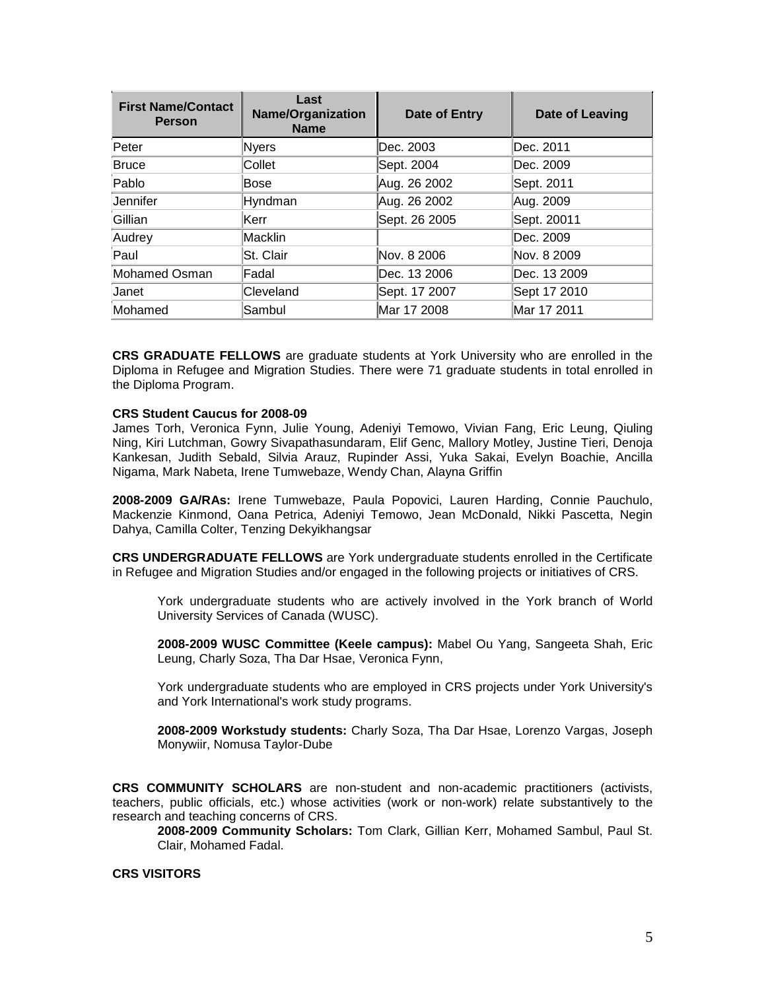| <b>First Name/Contact</b><br><b>Person</b> | Last<br><b>Name/Organization</b><br><b>Name</b> | Date of Entry | Date of Leaving |
|--------------------------------------------|-------------------------------------------------|---------------|-----------------|
| Peter                                      | <b>Nyers</b>                                    | Dec. 2003     | Dec. 2011       |
| <b>Bruce</b>                               | Collet                                          | Sept. 2004    | Dec. 2009       |
| Pablo                                      | Bose                                            | Aug. 26 2002  | Sept. 2011      |
| Jennifer                                   | Hyndman                                         | Aug. 26 2002  | Aug. 2009       |
| Gillian                                    | Kerr                                            | Sept. 26 2005 | Sept. 20011     |
| Audrey                                     | Macklin                                         |               | Dec. 2009       |
| Paul                                       | St. Clair                                       | Nov. 8 2006   | Nov. 8 2009     |
| Mohamed Osman                              | Fadal                                           | Dec. 13 2006  | lDec. 13 2009   |
| Janet                                      | Cleveland                                       | Sept. 17 2007 | Sept 17 2010    |
| Mohamed                                    | Sambul                                          | Mar 17 2008   | Mar 17 2011     |

**CRS GRADUATE FELLOWS** are graduate students at York University who are enrolled in the Diploma in Refugee and Migration Studies. There were 71 graduate students in total enrolled in the Diploma Program.

#### **CRS Student Caucus for 2008-09**

James Torh, Veronica Fynn, Julie Young, Adeniyi Temowo, Vivian Fang, Eric Leung, Qiuling Ning, Kiri Lutchman, Gowry Sivapathasundaram, Elif Genc, Mallory Motley, Justine Tieri, Denoja Kankesan, Judith Sebald, Silvia Arauz, Rupinder Assi, Yuka Sakai, Evelyn Boachie, Ancilla Nigama, Mark Nabeta, Irene Tumwebaze, Wendy Chan, Alayna Griffin

**2008-2009 GA/RAs:** Irene Tumwebaze, Paula Popovici, Lauren Harding, Connie Pauchulo, Mackenzie Kinmond, Oana Petrica, Adeniyi Temowo, Jean McDonald, Nikki Pascetta, Negin Dahya, Camilla Colter, Tenzing Dekyikhangsar

**CRS UNDERGRADUATE FELLOWS** are York undergraduate students enrolled in the Certificate in Refugee and Migration Studies and/or engaged in the following projects or initiatives of CRS.

York undergraduate students who are actively involved in the York branch of World University Services of Canada (WUSC).

**2008-2009 WUSC Committee (Keele campus):** Mabel Ou Yang, Sangeeta Shah, Eric Leung, Charly Soza, Tha Dar Hsae, Veronica Fynn,

York undergraduate students who are employed in CRS projects under York University's and York International's work study programs.

**2008-2009 Workstudy students:** Charly Soza, Tha Dar Hsae, Lorenzo Vargas, Joseph Monywiir, Nomusa Taylor-Dube

**CRS COMMUNITY SCHOLARS** are non-student and non-academic practitioners (activists, teachers, public officials, etc.) whose activities (work or non-work) relate substantively to the research and teaching concerns of CRS.

**2008-2009 Community Scholars:** Tom Clark, Gillian Kerr, Mohamed Sambul, Paul St. Clair, Mohamed Fadal.

## **CRS VISITORS**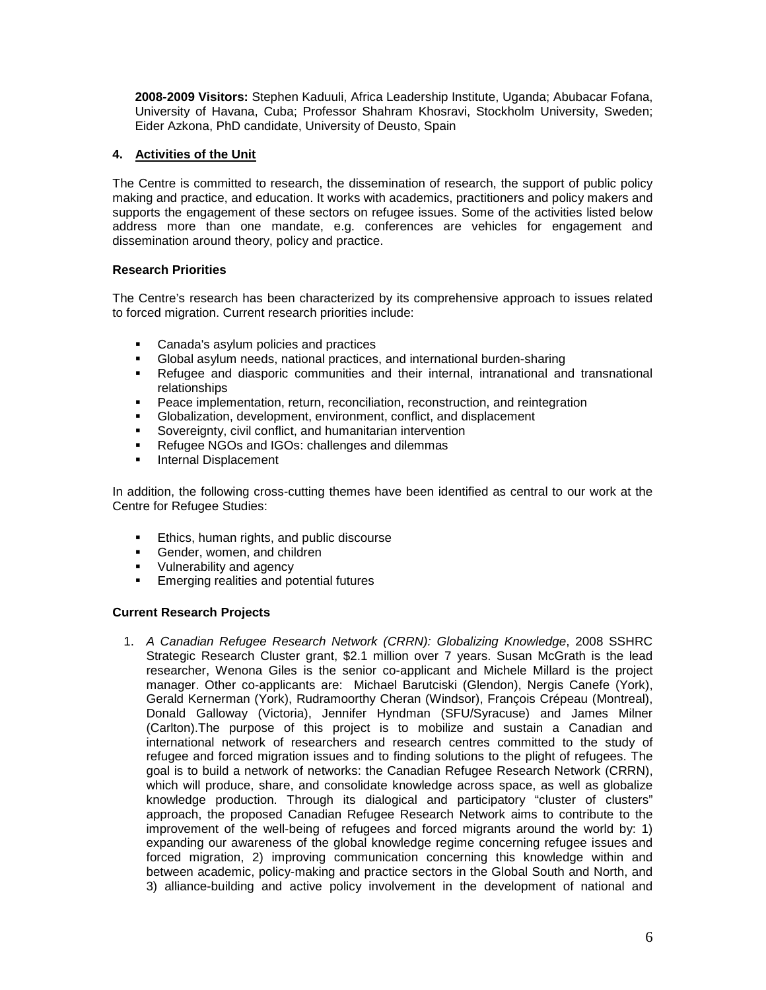**2008-2009 Visitors:** Stephen Kaduuli, Africa Leadership Institute, Uganda; Abubacar Fofana, University of Havana, Cuba; Professor Shahram Khosravi, Stockholm University, Sweden; Eider Azkona, PhD candidate, University of Deusto, Spain

## **4. Activities of the Unit**

The Centre is committed to research, the dissemination of research, the support of public policy making and practice, and education. It works with academics, practitioners and policy makers and supports the engagement of these sectors on refugee issues. Some of the activities listed below address more than one mandate, e.g. conferences are vehicles for engagement and dissemination around theory, policy and practice.

## **Research Priorities**

The Centre's research has been characterized by its comprehensive approach to issues related to forced migration. Current research priorities include:

- **Canada's asylum policies and practices**
- Global asylum needs, national practices, and international burden-sharing
- Refugee and diasporic communities and their internal, intranational and transnational relationships
- **Peace implementation, return, reconciliation, reconstruction, and reintegration**
- Globalization, development, environment, conflict, and displacement
- Sovereignty, civil conflict, and humanitarian intervention
- Refugee NGOs and IGOs: challenges and dilemmas
- **Internal Displacement**

In addition, the following cross-cutting themes have been identified as central to our work at the Centre for Refugee Studies:

- **Ethics, human rights, and public discourse**
- Gender, women, and children<br>Vulnerability and agency
- Vulnerability and agency
- Emerging realities and potential futures

## **Current Research Projects**

1. *A Canadian Refugee Research Network (CRRN): Globalizing Knowledge*, 2008 SSHRC Strategic Research Cluster grant, \$2.1 million over 7 years. Susan McGrath is the lead researcher, Wenona Giles is the senior co-applicant and Michele Millard is the project manager. Other co-applicants are: Michael Barutciski (Glendon), Nergis Canefe (York), Gerald Kernerman (York), Rudramoorthy Cheran (Windsor), François Crépeau (Montreal), Donald Galloway (Victoria), Jennifer Hyndman (SFU/Syracuse) and James Milner (Carlton).The purpose of this project is to mobilize and sustain a Canadian and international network of researchers and research centres committed to the study of refugee and forced migration issues and to finding solutions to the plight of refugees. The goal is to build a network of networks: the Canadian Refugee Research Network (CRRN), which will produce, share, and consolidate knowledge across space, as well as globalize knowledge production. Through its dialogical and participatory "cluster of clusters" approach, the proposed Canadian Refugee Research Network aims to contribute to the improvement of the well-being of refugees and forced migrants around the world by: 1) expanding our awareness of the global knowledge regime concerning refugee issues and forced migration, 2) improving communication concerning this knowledge within and between academic, policy-making and practice sectors in the Global South and North, and 3) alliance-building and active policy involvement in the development of national and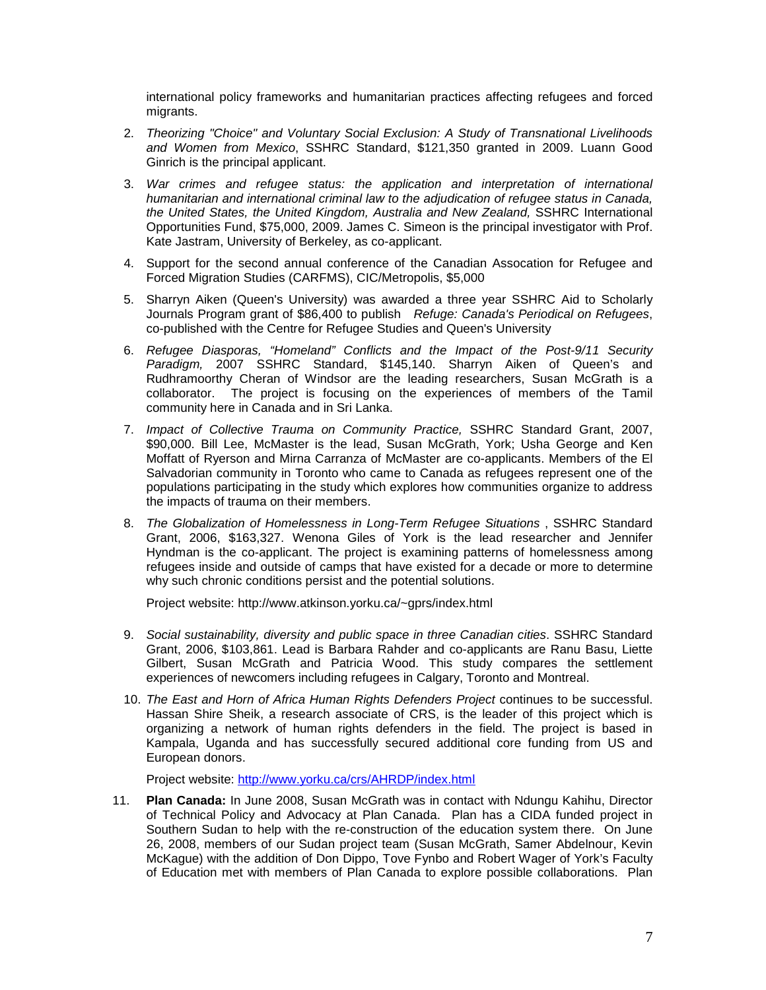international policy frameworks and humanitarian practices affecting refugees and forced migrants.

- 2. *Theorizing "Choice" and Voluntary Social Exclusion: A Study of Transnational Livelihoods and Women from Mexico*, SSHRC Standard, \$121,350 granted in 2009. Luann Good Ginrich is the principal applicant.
- 3. *War crimes and refugee status: the application and interpretation of international humanitarian and international criminal law to the adjudication of refugee status in Canada, the United States, the United Kingdom, Australia and New Zealand,* SSHRC International Opportunities Fund, \$75,000, 2009. James C. Simeon is the principal investigator with Prof. Kate Jastram, University of Berkeley, as co-applicant.
- 4. Support for the second annual conference of the Canadian Assocation for Refugee and Forced Migration Studies (CARFMS), CIC/Metropolis, \$5,000
- 5. Sharryn Aiken (Queen's University) was awarded a three year SSHRC Aid to Scholarly Journals Program grant of \$86,400 to publish *Refuge: Canada's Periodical on Refugees*, co-published with the Centre for Refugee Studies and Queen's University
- 6. *Refugee Diasporas, "Homeland" Conflicts and the Impact of the Post-9/11 Security Paradigm,* 2007 SSHRC Standard, \$145,140. Sharryn Aiken of Queen's and Rudhramoorthy Cheran of Windsor are the leading researchers, Susan McGrath is a collaborator. The project is focusing on the experiences of members of the Tamil community here in Canada and in Sri Lanka.
- 7. *Impact of Collective Trauma on Community Practice,* SSHRC Standard Grant, 2007, \$90,000. Bill Lee, McMaster is the lead, Susan McGrath, York; Usha George and Ken Moffatt of Ryerson and Mirna Carranza of McMaster are co-applicants. Members of the El Salvadorian community in Toronto who came to Canada as refugees represent one of the populations participating in the study which explores how communities organize to address the impacts of trauma on their members.
- 8. *The Globalization of Homelessness in Long-Term Refugee Situations* , SSHRC Standard Grant, 2006, \$163,327. Wenona Giles of York is the lead researcher and Jennifer Hyndman is the co-applicant. The project is examining patterns of homelessness among refugees inside and outside of camps that have existed for a decade or more to determine why such chronic conditions persist and the potential solutions.

Project website: http://www.atkinson.yorku.ca/~gprs/index.html

- 9. *Social sustainability, diversity and public space in three Canadian cities*. SSHRC Standard Grant, 2006, \$103,861. Lead is Barbara Rahder and co-applicants are Ranu Basu, Liette Gilbert, Susan McGrath and Patricia Wood. This study compares the settlement experiences of newcomers including refugees in Calgary, Toronto and Montreal.
- 10. *The East and Horn of Africa Human Rights Defenders Project* continues to be successful. Hassan Shire Sheik, a research associate of CRS, is the leader of this project which is organizing a network of human rights defenders in the field. The project is based in Kampala, Uganda and has successfully secured additional core funding from US and European donors.

Project website:<http://www.yorku.ca/crs/AHRDP/index.html>

11. **Plan Canada:** In June 2008, Susan McGrath was in contact with Ndungu Kahihu, Director of Technical Policy and Advocacy at Plan Canada. Plan has a CIDA funded project in Southern Sudan to help with the re-construction of the education system there. On June 26, 2008, members of our Sudan project team (Susan McGrath, Samer Abdelnour, Kevin McKague) with the addition of Don Dippo, Tove Fynbo and Robert Wager of York's Faculty of Education met with members of Plan Canada to explore possible collaborations. Plan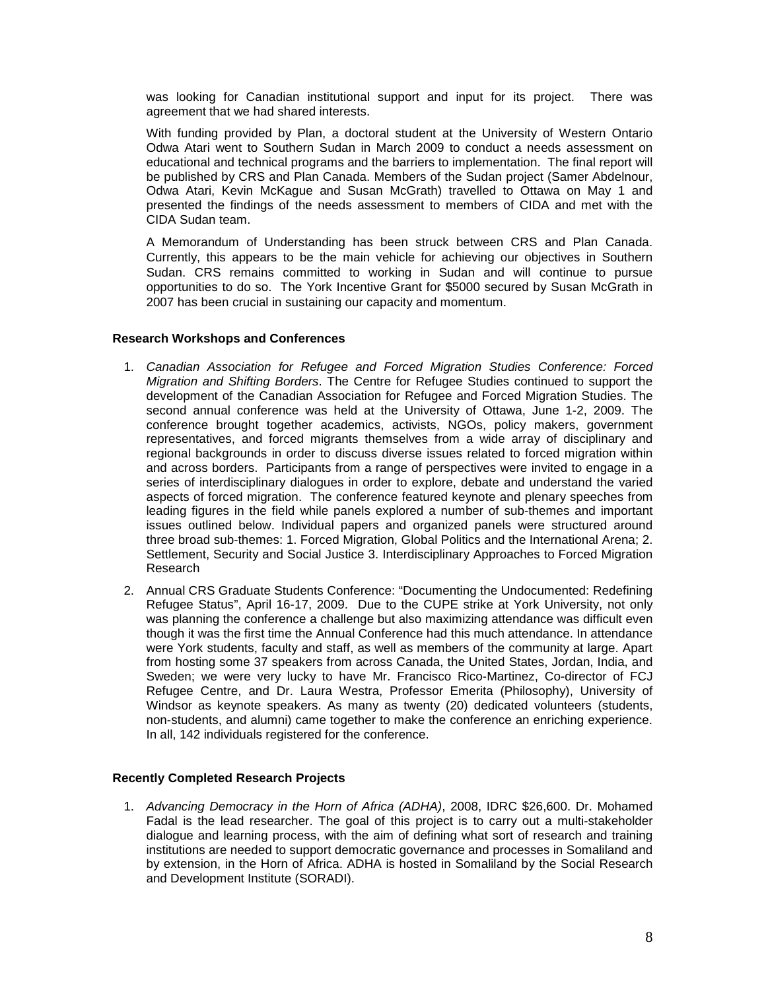was looking for Canadian institutional support and input for its project. There was agreement that we had shared interests.

With funding provided by Plan, a doctoral student at the University of Western Ontario Odwa Atari went to Southern Sudan in March 2009 to conduct a needs assessment on educational and technical programs and the barriers to implementation. The final report will be published by CRS and Plan Canada. Members of the Sudan project (Samer Abdelnour, Odwa Atari, Kevin McKague and Susan McGrath) travelled to Ottawa on May 1 and presented the findings of the needs assessment to members of CIDA and met with the CIDA Sudan team.

A Memorandum of Understanding has been struck between CRS and Plan Canada. Currently, this appears to be the main vehicle for achieving our objectives in Southern Sudan. CRS remains committed to working in Sudan and will continue to pursue opportunities to do so. The York Incentive Grant for \$5000 secured by Susan McGrath in 2007 has been crucial in sustaining our capacity and momentum.

#### **Research Workshops and Conferences**

- 1. *Canadian Association for Refugee and Forced Migration Studies Conference: Forced Migration and Shifting Borders*. The Centre for Refugee Studies continued to support the development of the Canadian Association for Refugee and Forced Migration Studies. The second annual conference was held at the University of Ottawa, June 1-2, 2009. The conference brought together academics, activists, NGOs, policy makers, government representatives, and forced migrants themselves from a wide array of disciplinary and regional backgrounds in order to discuss diverse issues related to forced migration within and across borders. Participants from a range of perspectives were invited to engage in a series of interdisciplinary dialogues in order to explore, debate and understand the varied aspects of forced migration. The conference featured keynote and plenary speeches from leading figures in the field while panels explored a number of sub-themes and important issues outlined below. Individual papers and organized panels were structured around three broad sub-themes: 1. Forced Migration, Global Politics and the International Arena; 2. Settlement, Security and Social Justice 3. Interdisciplinary Approaches to Forced Migration Research
- 2. Annual CRS Graduate Students Conference: "Documenting the Undocumented: Redefining Refugee Status", April 16-17, 2009. Due to the CUPE strike at York University, not only was planning the conference a challenge but also maximizing attendance was difficult even though it was the first time the Annual Conference had this much attendance. In attendance were York students, faculty and staff, as well as members of the community at large. Apart from hosting some 37 speakers from across Canada, the United States, Jordan, India, and Sweden; we were very lucky to have Mr. Francisco Rico-Martinez, Co-director of FCJ Refugee Centre, and Dr. Laura Westra, Professor Emerita (Philosophy), University of Windsor as keynote speakers. As many as twenty (20) dedicated volunteers (students, non-students, and alumni) came together to make the conference an enriching experience. In all, 142 individuals registered for the conference.

#### **Recently Completed Research Projects**

1. *Advancing Democracy in the Horn of Africa (ADHA)*, 2008, IDRC \$26,600. Dr. Mohamed Fadal is the lead researcher. The goal of this project is to carry out a multi-stakeholder dialogue and learning process, with the aim of defining what sort of research and training institutions are needed to support democratic governance and processes in Somaliland and by extension, in the Horn of Africa. ADHA is hosted in Somaliland by the Social Research and Development Institute (SORADI).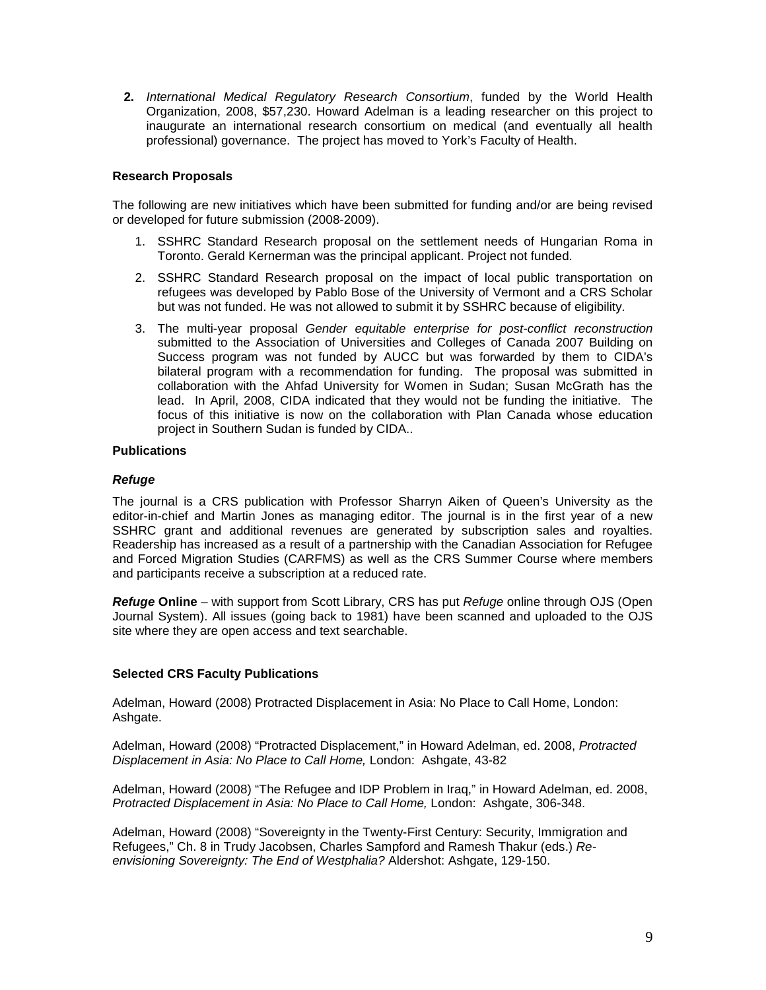**2.** *International Medical Regulatory Research Consortium*, funded by the World Health Organization, 2008, \$57,230. Howard Adelman is a leading researcher on this project to inaugurate an international research consortium on medical (and eventually all health professional) governance. The project has moved to York's Faculty of Health.

## **Research Proposals**

The following are new initiatives which have been submitted for funding and/or are being revised or developed for future submission (2008-2009).

- 1. SSHRC Standard Research proposal on the settlement needs of Hungarian Roma in Toronto. Gerald Kernerman was the principal applicant. Project not funded.
- 2. SSHRC Standard Research proposal on the impact of local public transportation on refugees was developed by Pablo Bose of the University of Vermont and a CRS Scholar but was not funded. He was not allowed to submit it by SSHRC because of eligibility.
- 3. The multi-year proposal *Gender equitable enterprise for post-conflict reconstruction*  submitted to the Association of Universities and Colleges of Canada 2007 Building on Success program was not funded by AUCC but was forwarded by them to CIDA's bilateral program with a recommendation for funding. The proposal was submitted in collaboration with the Ahfad University for Women in Sudan; Susan McGrath has the lead. In April, 2008, CIDA indicated that they would not be funding the initiative. The focus of this initiative is now on the collaboration with Plan Canada whose education project in Southern Sudan is funded by CIDA..

## **Publications**

#### *Refuge*

The journal is a CRS publication with Professor Sharryn Aiken of Queen's University as the editor-in-chief and Martin Jones as managing editor. The journal is in the first year of a new SSHRC grant and additional revenues are generated by subscription sales and royalties. Readership has increased as a result of a partnership with the Canadian Association for Refugee and Forced Migration Studies (CARFMS) as well as the CRS Summer Course where members and participants receive a subscription at a reduced rate.

*Refuge* **Online** – with support from Scott Library, CRS has put *Refuge* online through OJS (Open Journal System). All issues (going back to 1981) have been scanned and uploaded to the OJS site where they are open access and text searchable.

#### **Selected CRS Faculty Publications**

Adelman, Howard (2008) Protracted Displacement in Asia: No Place to Call Home, London: Ashgate.

Adelman, Howard (2008) "Protracted Displacement," in Howard Adelman, ed. 2008, *Protracted Displacement in Asia: No Place to Call Home,* London: Ashgate, 43-82

Adelman, Howard (2008) "The Refugee and IDP Problem in Iraq," in Howard Adelman, ed. 2008, *Protracted Displacement in Asia: No Place to Call Home,* London: Ashgate, 306-348.

Adelman, Howard (2008) "Sovereignty in the Twenty-First Century: Security, Immigration and Refugees," Ch. 8 in Trudy Jacobsen, Charles Sampford and Ramesh Thakur (eds.) *Reenvisioning Sovereignty: The End of Westphalia?* Aldershot: Ashgate, 129-150.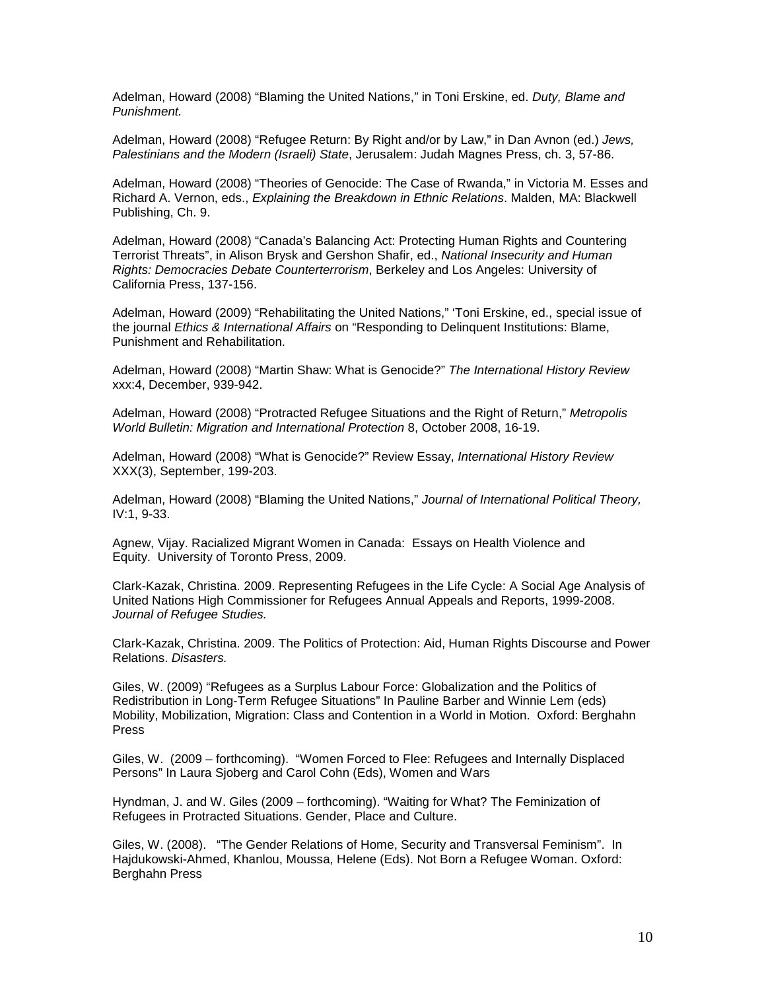Adelman, Howard (2008) "Blaming the United Nations," in Toni Erskine, ed. *Duty, Blame and Punishment.*

Adelman, Howard (2008) "Refugee Return: By Right and/or by Law," in Dan Avnon (ed.) *Jews, Palestinians and the Modern (Israeli) State*, Jerusalem: Judah Magnes Press, ch. 3, 57-86.

Adelman, Howard (2008) "Theories of Genocide: The Case of Rwanda," in Victoria M. Esses and Richard A. Vernon, eds., *Explaining the Breakdown in Ethnic Relations*. Malden, MA: Blackwell Publishing, Ch. 9.

Adelman, Howard (2008) "Canada's Balancing Act: Protecting Human Rights and Countering Terrorist Threats", in Alison Brysk and Gershon Shafir, ed., *National Insecurity and Human Rights: Democracies Debate Counterterrorism*, Berkeley and Los Angeles: University of California Press, 137-156.

Adelman, Howard (2009) "Rehabilitating the United Nations," 'Toni Erskine, ed., special issue of the journal *Ethics & International Affairs* on "Responding to Delinquent Institutions: Blame, Punishment and Rehabilitation.

Adelman, Howard (2008) "Martin Shaw: What is Genocide?" *The International History Review* xxx:4, December, 939-942.

Adelman, Howard (2008) "Protracted Refugee Situations and the Right of Return," *Metropolis World Bulletin: Migration and International Protection* 8, October 2008, 16-19.

Adelman, Howard (2008) "What is Genocide?" Review Essay, *International History Review* XXX(3), September, 199-203.

Adelman, Howard (2008) "Blaming the United Nations," *Journal of International Political Theory,*  IV:1, 9-33.

Agnew, Vijay. Racialized Migrant Women in Canada: Essays on Health Violence and Equity. University of Toronto Press, 2009.

Clark-Kazak, Christina. 2009. Representing Refugees in the Life Cycle: A Social Age Analysis of United Nations High Commissioner for Refugees Annual Appeals and Reports, 1999-2008. *Journal of Refugee Studies.*

Clark-Kazak, Christina. 2009. The Politics of Protection: Aid, Human Rights Discourse and Power Relations. *Disasters.*

Giles, W. (2009) "Refugees as a Surplus Labour Force: Globalization and the Politics of Redistribution in Long-Term Refugee Situations" In Pauline Barber and Winnie Lem (eds) Mobility, Mobilization, Migration: Class and Contention in a World in Motion. Oxford: Berghahn Press

Giles, W. (2009 – forthcoming). "Women Forced to Flee: Refugees and Internally Displaced Persons" In Laura Sjoberg and Carol Cohn (Eds), Women and Wars

Hyndman, J. and W. Giles (2009 – forthcoming). "Waiting for What? The Feminization of Refugees in Protracted Situations. Gender, Place and Culture.

Giles, W. (2008). "The Gender Relations of Home, Security and Transversal Feminism". In Hajdukowski-Ahmed, Khanlou, Moussa, Helene (Eds). Not Born a Refugee Woman. Oxford: Berghahn Press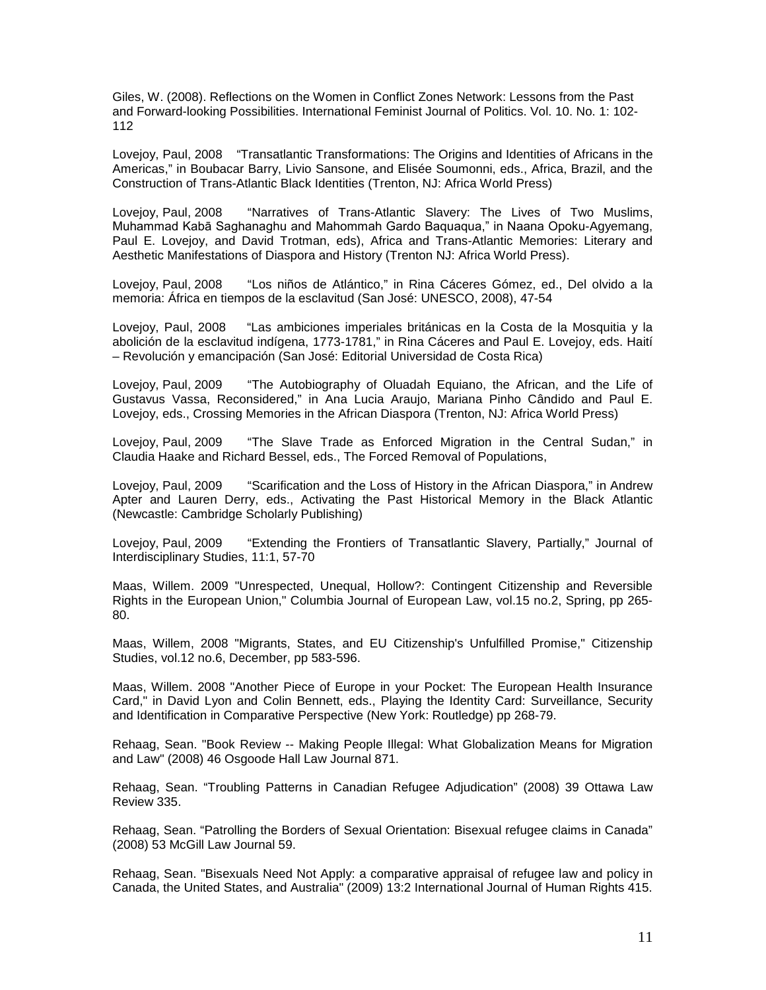Giles, W. (2008). Reflections on the Women in Conflict Zones Network: Lessons from the Past and Forward-looking Possibilities. International Feminist Journal of Politics. Vol. 10. No. 1: 102- 112

Lovejoy, Paul, 2008 "Transatlantic Transformations: The Origins and Identities of Africans in the Americas," in Boubacar Barry, Livio Sansone, and Elisée Soumonni, eds., Africa, Brazil, and the Construction of Trans-Atlantic Black Identities (Trenton, NJ: Africa World Press)

Lovejoy, Paul, 2008 "Narratives of Trans-Atlantic Slavery: The Lives of Two Muslims, Muhammad Kabā Saghanaghu and Mahommah Gardo Baquaqua," in Naana Opoku-Agyemang, Paul E. Lovejoy, and David Trotman, eds), Africa and Trans-Atlantic Memories: Literary and Aesthetic Manifestations of Diaspora and History (Trenton NJ: Africa World Press).

Lovejoy, Paul, 2008 "Los niños de Atlántico," in Rina Cáceres Gómez, ed., Del olvido a la memoria: África en tiempos de la esclavitud (San José: UNESCO, 2008), 47-54

Lovejoy, Paul, 2008 "Las ambiciones imperiales británicas en la Costa de la Mosquitia y la abolición de la esclavitud indígena, 1773-1781," in Rina Cáceres and Paul E. Lovejoy, eds. Haití – Revolución y emancipación (San José: Editorial Universidad de Costa Rica)

Lovejoy, Paul, 2009 "The Autobiography of Oluadah Equiano, the African, and the Life of Gustavus Vassa, Reconsidered," in Ana Lucia Araujo, Mariana Pinho Cândido and Paul E. Lovejoy, eds., Crossing Memories in the African Diaspora (Trenton, NJ: Africa World Press)

Lovejoy, Paul, 2009 "The Slave Trade as Enforced Migration in the Central Sudan," in Claudia Haake and Richard Bessel, eds., The Forced Removal of Populations,

Lovejoy, Paul, 2009 "Scarification and the Loss of History in the African Diaspora," in Andrew Apter and Lauren Derry, eds., Activating the Past Historical Memory in the Black Atlantic (Newcastle: Cambridge Scholarly Publishing)

Lovejoy, Paul, 2009 "Extending the Frontiers of Transatlantic Slavery, Partially," Journal of Interdisciplinary Studies, 11:1, 57-70

Maas, Willem. 2009 "Unrespected, Unequal, Hollow?: Contingent Citizenship and Reversible Rights in the European Union," Columbia Journal of European Law, vol.15 no.2, Spring, pp 265- 80.

Maas, Willem, 2008 "Migrants, States, and EU Citizenship's Unfulfilled Promise," Citizenship Studies, vol.12 no.6, December, pp 583-596.

Maas, Willem. 2008 "Another Piece of Europe in your Pocket: The European Health Insurance Card," in David Lyon and Colin Bennett, eds., Playing the Identity Card: Surveillance, Security and Identification in Comparative Perspective (New York: Routledge) pp 268-79.

Rehaag, Sean. "Book Review -- Making People Illegal: What Globalization Means for Migration and Law" (2008) 46 Osgoode Hall Law Journal 871.

Rehaag, Sean. "Troubling Patterns in Canadian Refugee Adjudication" (2008) 39 Ottawa Law Review 335.

Rehaag, Sean. "Patrolling the Borders of Sexual Orientation: Bisexual refugee claims in Canada" (2008) 53 McGill Law Journal 59.

Rehaag, Sean. "Bisexuals Need Not Apply: a comparative appraisal of refugee law and policy in Canada, the United States, and Australia" (2009) 13:2 International Journal of Human Rights 415.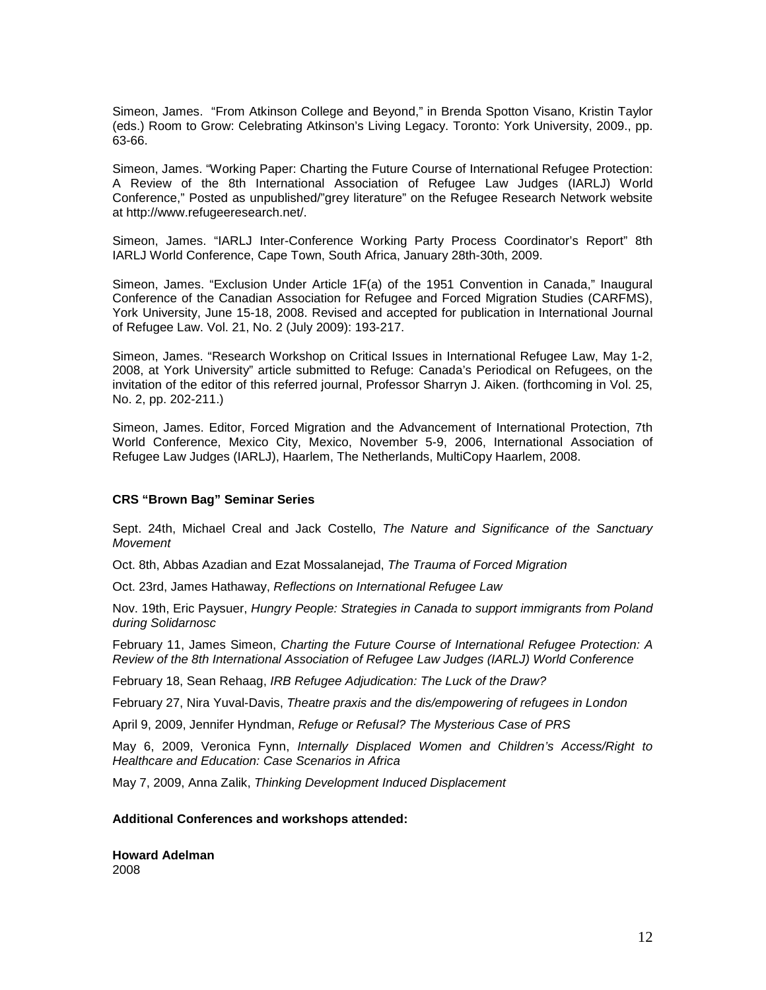Simeon, James. "From Atkinson College and Beyond," in Brenda Spotton Visano, Kristin Taylor (eds.) Room to Grow: Celebrating Atkinson's Living Legacy. Toronto: York University, 2009., pp. 63-66.

Simeon, James. "Working Paper: Charting the Future Course of International Refugee Protection: A Review of the 8th International Association of Refugee Law Judges (IARLJ) World Conference," Posted as unpublished/"grey literature" on the Refugee Research Network website at http://www.refugeeresearch.net/.

Simeon, James. "IARLJ Inter-Conference Working Party Process Coordinator's Report" 8th IARLJ World Conference, Cape Town, South Africa, January 28th-30th, 2009.

Simeon, James. "Exclusion Under Article 1F(a) of the 1951 Convention in Canada," Inaugural Conference of the Canadian Association for Refugee and Forced Migration Studies (CARFMS), York University, June 15-18, 2008. Revised and accepted for publication in International Journal of Refugee Law. Vol. 21, No. 2 (July 2009): 193-217.

Simeon, James. "Research Workshop on Critical Issues in International Refugee Law, May 1-2, 2008, at York University" article submitted to Refuge: Canada's Periodical on Refugees, on the invitation of the editor of this referred journal, Professor Sharryn J. Aiken. (forthcoming in Vol. 25, No. 2, pp. 202-211.)

Simeon, James. Editor, Forced Migration and the Advancement of International Protection, 7th World Conference, Mexico City, Mexico, November 5-9, 2006, International Association of Refugee Law Judges (IARLJ), Haarlem, The Netherlands, MultiCopy Haarlem, 2008.

#### **CRS "Brown Bag" Seminar Series**

Sept. 24th, Michael Creal and Jack Costello, *The Nature and Significance of the Sanctuary Movement*

Oct. 8th, Abbas Azadian and Ezat Mossalanejad, *The Trauma of Forced Migration*

Oct. 23rd, James Hathaway, *Reflections on International Refugee Law*

Nov. 19th, Eric Paysuer, *Hungry People: Strategies in Canada to support immigrants from Poland during Solidarnosc*

February 11, James Simeon, *Charting the Future Course of International Refugee Protection: A Review of the 8th International Association of Refugee Law Judges (IARLJ) World Conference*

February 18, Sean Rehaag, *IRB Refugee Adjudication: The Luck of the Draw?*

February 27, Nira Yuval-Davis, *Theatre praxis and the dis/empowering of refugees in London*

April 9, 2009, Jennifer Hyndman, *Refuge or Refusal? The Mysterious Case of PRS*

May 6, 2009, Veronica Fynn, *Internally Displaced Women and Children's Access/Right to Healthcare and Education: Case Scenarios in Africa*

May 7, 2009, Anna Zalik, *Thinking Development Induced Displacement*

**Additional Conferences and workshops attended:** 

**Howard Adelman** 2008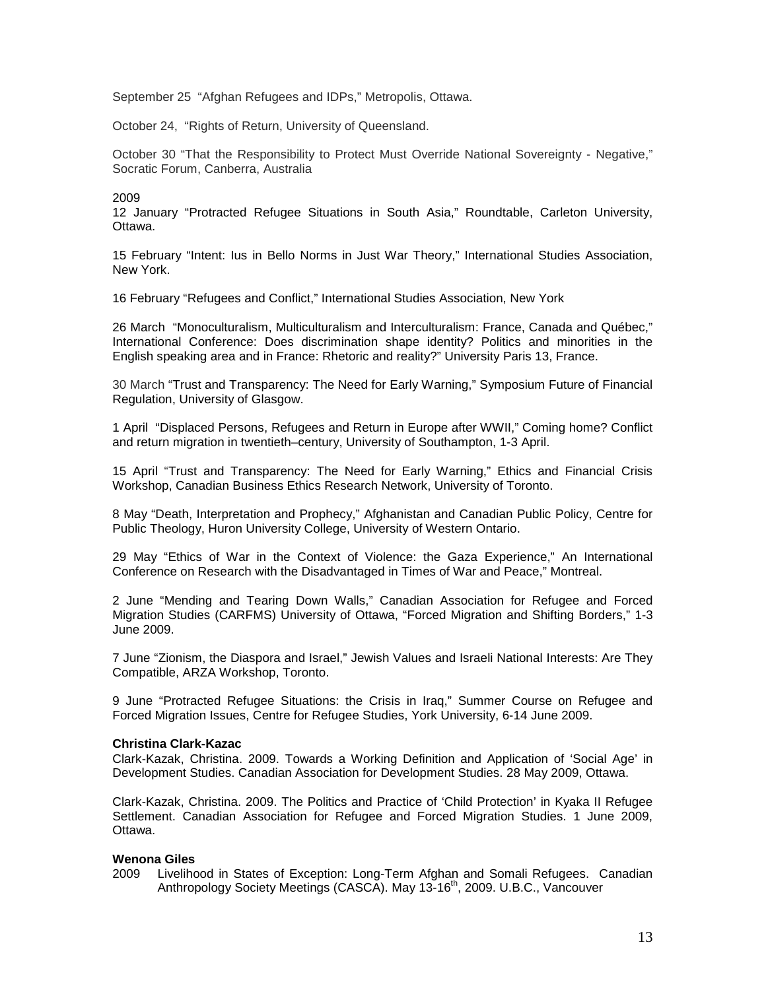September 25 "Afghan Refugees and IDPs," Metropolis, Ottawa.

October 24, "Rights of Return, University of Queensland.

October 30 "That the Responsibility to Protect Must Override National Sovereignty - Negative," Socratic Forum, Canberra, Australia

#### 2009

12 January "Protracted Refugee Situations in South Asia," Roundtable, Carleton University, Ottawa.

15 February "Intent: Ius in Bello Norms in Just War Theory," International Studies Association, New York.

16 February "Refugees and Conflict," International Studies Association, New York

26 March "Monoculturalism, Multiculturalism and Interculturalism: France, Canada and Québec," International Conference: Does discrimination shape identity? Politics and minorities in the English speaking area and in France: Rhetoric and reality?" University Paris 13, France.

30 March "Trust and Transparency: The Need for Early Warning," Symposium Future of Financial Regulation, University of Glasgow.

1 April "Displaced Persons, Refugees and Return in Europe after WWII," Coming home? Conflict and return migration in twentieth–century, University of Southampton, 1-3 April.

15 April "Trust and Transparency: The Need for Early Warning," Ethics and Financial Crisis Workshop, Canadian Business Ethics Research Network, University of Toronto.

8 May "Death, Interpretation and Prophecy," Afghanistan and Canadian Public Policy, Centre for Public Theology, Huron University College, University of Western Ontario.

29 May "Ethics of War in the Context of Violence: the Gaza Experience," An International Conference on Research with the Disadvantaged in Times of War and Peace," Montreal.

2 June "Mending and Tearing Down Walls," Canadian Association for Refugee and Forced Migration Studies (CARFMS) University of Ottawa, "Forced Migration and Shifting Borders," 1-3 June 2009.

7 June "Zionism, the Diaspora and Israel," Jewish Values and Israeli National Interests: Are They Compatible, ARZA Workshop, Toronto.

9 June "Protracted Refugee Situations: the Crisis in Iraq," Summer Course on Refugee and Forced Migration Issues, Centre for Refugee Studies, York University, 6-14 June 2009.

#### **Christina Clark-Kazac**

Clark-Kazak, Christina. 2009. Towards a Working Definition and Application of 'Social Age' in Development Studies. Canadian Association for Development Studies. 28 May 2009, Ottawa.

Clark-Kazak, Christina. 2009. The Politics and Practice of 'Child Protection' in Kyaka II Refugee Settlement. Canadian Association for Refugee and Forced Migration Studies. 1 June 2009, Ottawa.

#### **Wenona Giles**

2009 Livelihood in States of Exception: Long-Term Afghan and Somali Refugees. Canadian Anthropology Society Meetings (CASCA). May 13-16<sup>th</sup>, 2009. U.B.C., Vancouver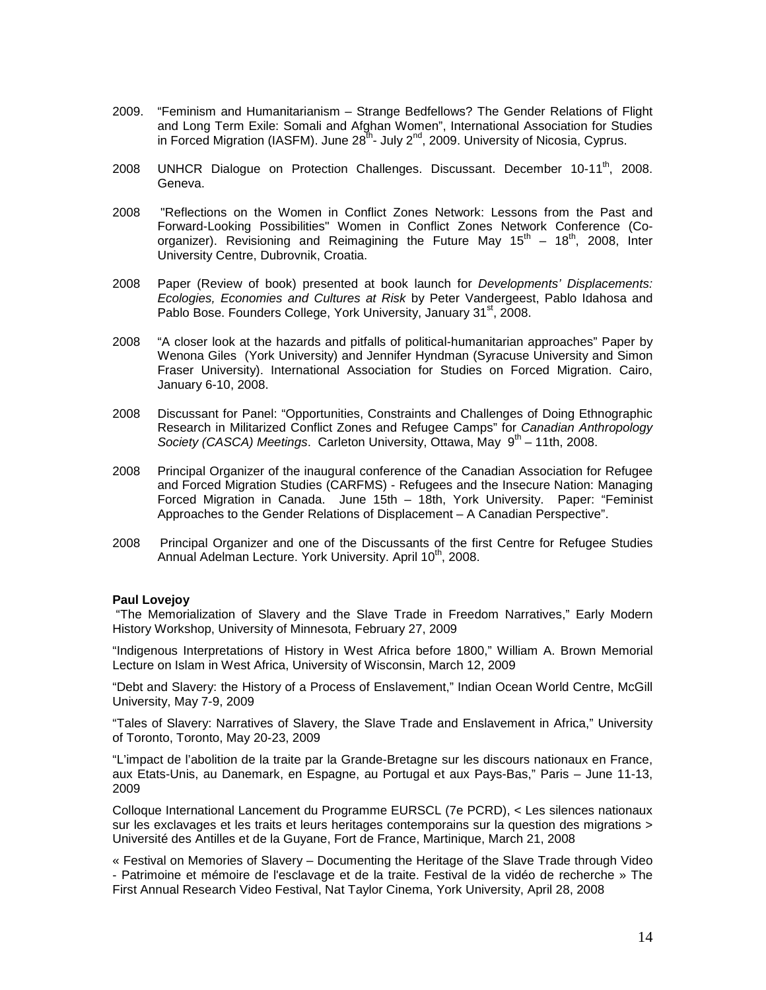- 2009. "Feminism and Humanitarianism Strange Bedfellows? The Gender Relations of Flight and Long Term Exile: Somali and Afghan Women", International Association for Studies in Forced Migration (IASFM). June  $28^{th}$ - July  $2^{nd}$ , 2009. University of Nicosia, Cyprus.
- 2008 UNHCR Dialogue on Protection Challenges. Discussant. December 10-11<sup>th</sup>, 2008. Geneva.
- 2008 "Reflections on the Women in Conflict Zones Network: Lessons from the Past and Forward-Looking Possibilities" Women in Conflict Zones Network Conference (Coorganizer). Revisioning and Reimagining the Future May  $15<sup>th</sup> - 18<sup>th</sup>$ , 2008, Inter University Centre, Dubrovnik, Croatia.
- 2008 Paper (Review of book) presented at book launch for *Developments' Displacements: Ecologies, Economies and Cultures at Risk* by Peter Vandergeest, Pablo Idahosa and Pablo Bose. Founders College, York University, January 31<sup>st</sup>, 2008.
- 2008 "A closer look at the hazards and pitfalls of political-humanitarian approaches" Paper by Wenona Giles (York University) and Jennifer Hyndman (Syracuse University and Simon Fraser University). International Association for Studies on Forced Migration. Cairo, January 6-10, 2008.
- 2008 Discussant for Panel: "Opportunities, Constraints and Challenges of Doing Ethnographic Research in Militarized Conflict Zones and Refugee Camps" for *Canadian Anthropology Society (CASCA) Meetings. Carleton University, Ottawa, May 9<sup>th</sup> – 11th, 2008.*
- 2008 Principal Organizer of the inaugural conference of the Canadian Association for Refugee and Forced Migration Studies (CARFMS) - Refugees and the Insecure Nation: Managing Forced Migration in Canada. June 15th – 18th, York University. Paper: "Feminist Approaches to the Gender Relations of Displacement – A Canadian Perspective".
- 2008 Principal Organizer and one of the Discussants of the first Centre for Refugee Studies Annual Adelman Lecture. York University. April 10<sup>th</sup>, 2008.

#### **Paul Lovejoy**

"The Memorialization of Slavery and the Slave Trade in Freedom Narratives," Early Modern History Workshop, University of Minnesota, February 27, 2009

"Indigenous Interpretations of History in West Africa before 1800," William A. Brown Memorial Lecture on Islam in West Africa, University of Wisconsin, March 12, 2009

"Debt and Slavery: the History of a Process of Enslavement," Indian Ocean World Centre, McGill University, May 7-9, 2009

"Tales of Slavery: Narratives of Slavery, the Slave Trade and Enslavement in Africa," University of Toronto, Toronto, May 20-23, 2009

"L'impact de l'abolition de la traite par la Grande-Bretagne sur les discours nationaux en France, aux Etats-Unis, au Danemark, en Espagne, au Portugal et aux Pays-Bas," Paris – June 11-13, 2009

Colloque International Lancement du Programme EURSCL (7e PCRD), < Les silences nationaux sur les exclavages et les traits et leurs heritages contemporains sur la question des migrations > Université des Antilles et de la Guyane, Fort de France, Martinique, March 21, 2008

« Festival on Memories of Slavery – Documenting the Heritage of the Slave Trade through Video - Patrimoine et mémoire de l'esclavage et de la traite. Festival de la vidéo de recherche » The First Annual Research Video Festival, Nat Taylor Cinema, York University, April 28, 2008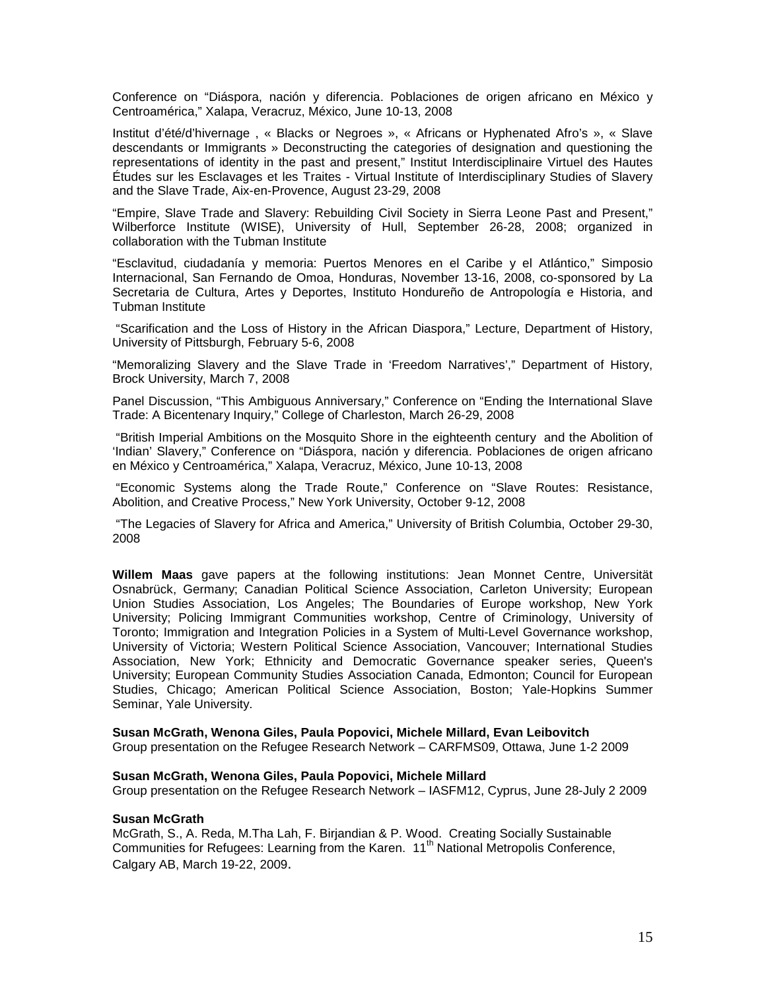Conference on "Diáspora, nación y diferencia. Poblaciones de origen africano en México y Centroamérica," Xalapa, Veracruz, México, June 10-13, 2008

Institut d'été/d'hivernage , « Blacks or Negroes », « Africans or Hyphenated Afro's », « Slave descendants or Immigrants » Deconstructing the categories of designation and questioning the representations of identity in the past and present," Institut Interdisciplinaire Virtuel des Hautes Études sur les Esclavages et les Traites - Virtual Institute of Interdisciplinary Studies of Slavery and the Slave Trade, Aix-en-Provence, August 23-29, 2008

"Empire, Slave Trade and Slavery: Rebuilding Civil Society in Sierra Leone Past and Present," Wilberforce Institute (WISE), University of Hull, September 26-28, 2008; organized in collaboration with the Tubman Institute

"Esclavitud, ciudadanía y memoria: Puertos Menores en el Caribe y el Atlántico," Simposio Internacional, San Fernando de Omoa, Honduras, November 13-16, 2008, co-sponsored by La Secretaria de Cultura, Artes y Deportes, Instituto Hondureño de Antropología e Historia, and Tubman Institute

"Scarification and the Loss of History in the African Diaspora," Lecture, Department of History, University of Pittsburgh, February 5-6, 2008

"Memoralizing Slavery and the Slave Trade in 'Freedom Narratives'," Department of History, Brock University, March 7, 2008

Panel Discussion, "This Ambiguous Anniversary," Conference on "Ending the International Slave Trade: A Bicentenary Inquiry," College of Charleston, March 26-29, 2008

"British Imperial Ambitions on the Mosquito Shore in the eighteenth century and the Abolition of 'Indian' Slavery," Conference on "Diáspora, nación y diferencia. Poblaciones de origen africano en México y Centroamérica," Xalapa, Veracruz, México, June 10-13, 2008

"Economic Systems along the Trade Route," Conference on "Slave Routes: Resistance, Abolition, and Creative Process," New York University, October 9-12, 2008

"The Legacies of Slavery for Africa and America," University of British Columbia, October 29-30, 2008

**Willem Maas** gave papers at the following institutions: Jean Monnet Centre, Universität Osnabrück, Germany; Canadian Political Science Association, Carleton University; European Union Studies Association, Los Angeles; The Boundaries of Europe workshop, New York University; Policing Immigrant Communities workshop, Centre of Criminology, University of Toronto; Immigration and Integration Policies in a System of Multi-Level Governance workshop, University of Victoria; Western Political Science Association, Vancouver; International Studies Association, New York; Ethnicity and Democratic Governance speaker series, Queen's University; European Community Studies Association Canada, Edmonton; Council for European Studies, Chicago; American Political Science Association, Boston; Yale-Hopkins Summer Seminar, Yale University.

#### **Susan McGrath, Wenona Giles, Paula Popovici, Michele Millard, Evan Leibovitch**

Group presentation on the Refugee Research Network – CARFMS09, Ottawa, June 1-2 2009

#### **Susan McGrath, Wenona Giles, Paula Popovici, Michele Millard**

Group presentation on the Refugee Research Network – IASFM12, Cyprus, June 28-July 2 2009

#### **Susan McGrath**

McGrath, S., A. Reda, M.Tha Lah, F. Birjandian & P. Wood. Creating Socially Sustainable Communities for Refugees: Learning from the Karen. 11<sup>th</sup> National Metropolis Conference, Calgary AB, March 19-22, 2009.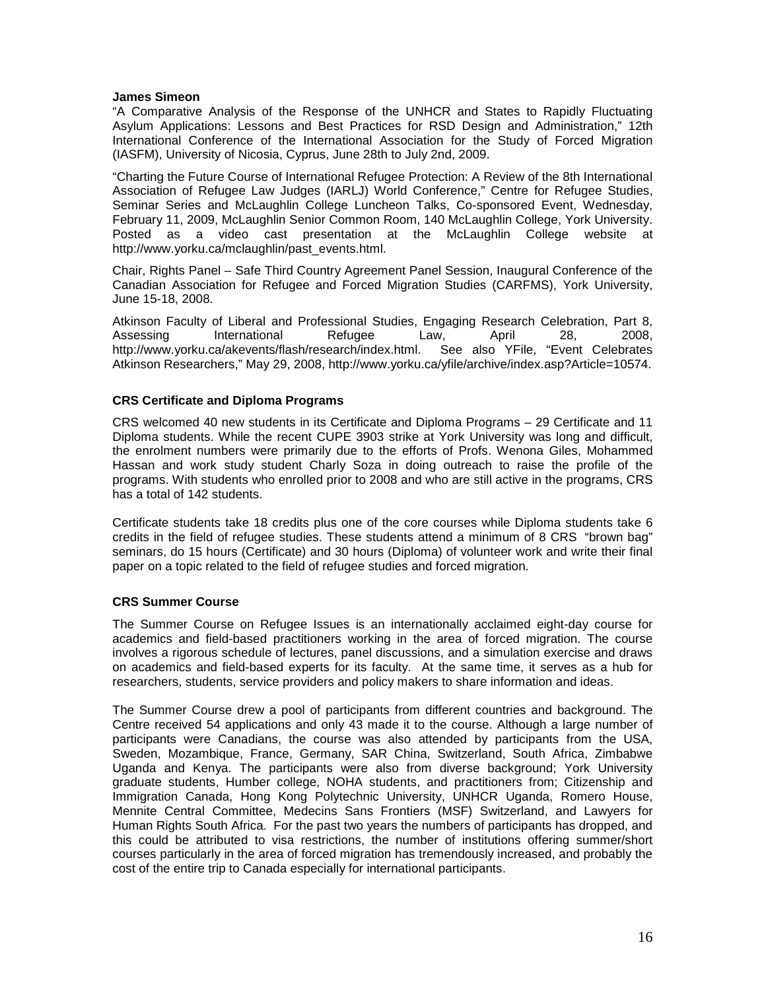#### **James Simeon**

"A Comparative Analysis of the Response of the UNHCR and States to Rapidly Fluctuating Asylum Applications: Lessons and Best Practices for RSD Design and Administration," 12th International Conference of the International Association for the Study of Forced Migration (IASFM), University of Nicosia, Cyprus, June 28th to July 2nd, 2009.

"Charting the Future Course of International Refugee Protection: A Review of the 8th International Association of Refugee Law Judges (IARLJ) World Conference," Centre for Refugee Studies, Seminar Series and McLaughlin College Luncheon Talks, Co-sponsored Event, Wednesday, February 11, 2009, McLaughlin Senior Common Room, 140 McLaughlin College, York University. Posted as a video cast presentation at the McLaughlin College website at http://www.yorku.ca/mclaughlin/past\_events.html.

Chair, Rights Panel – Safe Third Country Agreement Panel Session, Inaugural Conference of the Canadian Association for Refugee and Forced Migration Studies (CARFMS), York University, June 15-18, 2008.

Atkinson Faculty of Liberal and Professional Studies, Engaging Research Celebration, Part 8, Assessing International Refugee Law, April 28, 2008,<br>http://www.yorku.ca/akevents/flash/research/index.html. See also YFile, "Event Celebrates http://www.yorku.ca/akevents/flash/research/index.html. Atkinson Researchers," May 29, 2008, http://www.yorku.ca/yfile/archive/index.asp?Article=10574.

## **CRS Certificate and Diploma Programs**

CRS welcomed 40 new students in its Certificate and Diploma Programs – 29 Certificate and 11 Diploma students. While the recent CUPE 3903 strike at York University was long and difficult, the enrolment numbers were primarily due to the efforts of Profs. Wenona Giles, Mohammed Hassan and work study student Charly Soza in doing outreach to raise the profile of the programs. With students who enrolled prior to 2008 and who are still active in the programs, CRS has a total of 142 students.

Certificate students take 18 credits plus one of the core courses while Diploma students take 6 credits in the field of refugee studies. These students attend a minimum of 8 CRS "brown bag" seminars, do 15 hours (Certificate) and 30 hours (Diploma) of volunteer work and write their final paper on a topic related to the field of refugee studies and forced migration.

## **CRS Summer Course**

The Summer Course on Refugee Issues is an internationally acclaimed eight-day course for academics and field-based practitioners working in the area of forced migration. The course involves a rigorous schedule of lectures, panel discussions, and a simulation exercise and draws on academics and field-based experts for its faculty. At the same time, it serves as a hub for researchers, students, service providers and policy makers to share information and ideas.

The Summer Course drew a pool of participants from different countries and background. The Centre received 54 applications and only 43 made it to the course. Although a large number of participants were Canadians, the course was also attended by participants from the USA, Sweden, Mozambique, France, Germany, SAR China, Switzerland, South Africa, Zimbabwe Uganda and Kenya. The participants were also from diverse background; York University graduate students, Humber college, NOHA students, and practitioners from; Citizenship and Immigration Canada, Hong Kong Polytechnic University, UNHCR Uganda, Romero House, Mennite Central Committee, Medecins Sans Frontiers (MSF) Switzerland, and Lawyers for Human Rights South Africa. For the past two years the numbers of participants has dropped, and this could be attributed to visa restrictions, the number of institutions offering summer/short courses particularly in the area of forced migration has tremendously increased, and probably the cost of the entire trip to Canada especially for international participants.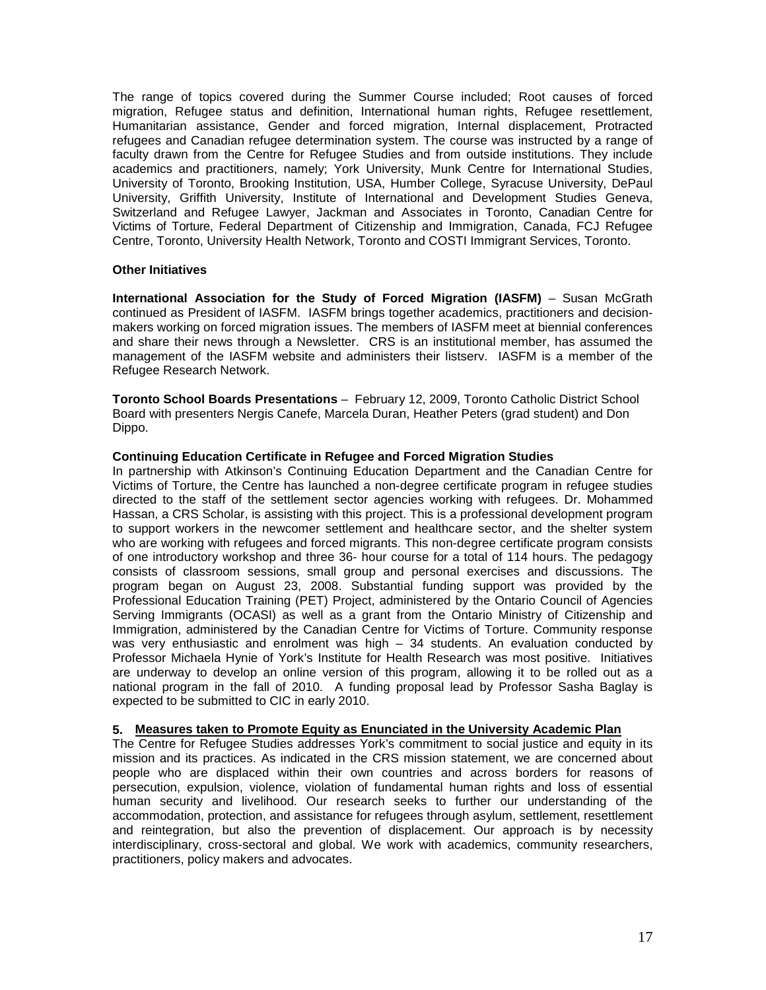The range of topics covered during the Summer Course included; Root causes of forced migration, Refugee status and definition, International human rights, Refugee resettlement, Humanitarian assistance, Gender and forced migration, Internal displacement, Protracted refugees and Canadian refugee determination system. The course was instructed by a range of faculty drawn from the Centre for Refugee Studies and from outside institutions. They include academics and practitioners, namely; York University, Munk Centre for International Studies, University of Toronto, Brooking Institution, USA, Humber College, Syracuse University, DePaul University, Griffith University, Institute of International and Development Studies Geneva, Switzerland and Refugee Lawyer, Jackman and Associates in Toronto, Canadian Centre for Victims of Torture, Federal Department of Citizenship and Immigration, Canada, FCJ Refugee Centre, Toronto, University Health Network, Toronto and COSTI Immigrant Services, Toronto.

#### **Other Initiatives**

**International Association for the Study of Forced Migration (IASFM)** – Susan McGrath continued as President of IASFM. IASFM brings together academics, practitioners and decisionmakers working on forced migration issues. The members of IASFM meet at biennial conferences and share their news through a Newsletter. CRS is an institutional member, has assumed the management of the IASFM website and administers their listserv. IASFM is a member of the Refugee Research Network.

**Toronto School Boards Presentations** – February 12, 2009, Toronto Catholic District School Board with presenters Nergis Canefe, Marcela Duran, Heather Peters (grad student) and Don Dippo.

#### **Continuing Education Certificate in Refugee and Forced Migration Studies**

In partnership with Atkinson's Continuing Education Department and the Canadian Centre for Victims of Torture, the Centre has launched a non-degree certificate program in refugee studies directed to the staff of the settlement sector agencies working with refugees. Dr. Mohammed Hassan, a CRS Scholar, is assisting with this project. This is a professional development program to support workers in the newcomer settlement and healthcare sector, and the shelter system who are working with refugees and forced migrants. This non-degree certificate program consists of one introductory workshop and three 36- hour course for a total of 114 hours. The pedagogy consists of classroom sessions, small group and personal exercises and discussions. The program began on August 23, 2008. Substantial funding support was provided by the Professional Education Training (PET) Project, administered by the Ontario Council of Agencies Serving Immigrants (OCASI) as well as a grant from the Ontario Ministry of Citizenship and Immigration, administered by the Canadian Centre for Victims of Torture. Community response was very enthusiastic and enrolment was high – 34 students. An evaluation conducted by Professor Michaela Hynie of York's Institute for Health Research was most positive. Initiatives are underway to develop an online version of this program, allowing it to be rolled out as a national program in the fall of 2010. A funding proposal lead by Professor Sasha Baglay is expected to be submitted to CIC in early 2010.

#### **5. Measures taken to Promote Equity as Enunciated in the University Academic Plan**

The Centre for Refugee Studies addresses York's commitment to social justice and equity in its mission and its practices. As indicated in the CRS mission statement, we are concerned about people who are displaced within their own countries and across borders for reasons of persecution, expulsion, violence, violation of fundamental human rights and loss of essential human security and livelihood. Our research seeks to further our understanding of the accommodation, protection, and assistance for refugees through asylum, settlement, resettlement and reintegration, but also the prevention of displacement. Our approach is by necessity interdisciplinary, cross-sectoral and global. We work with academics, community researchers, practitioners, policy makers and advocates.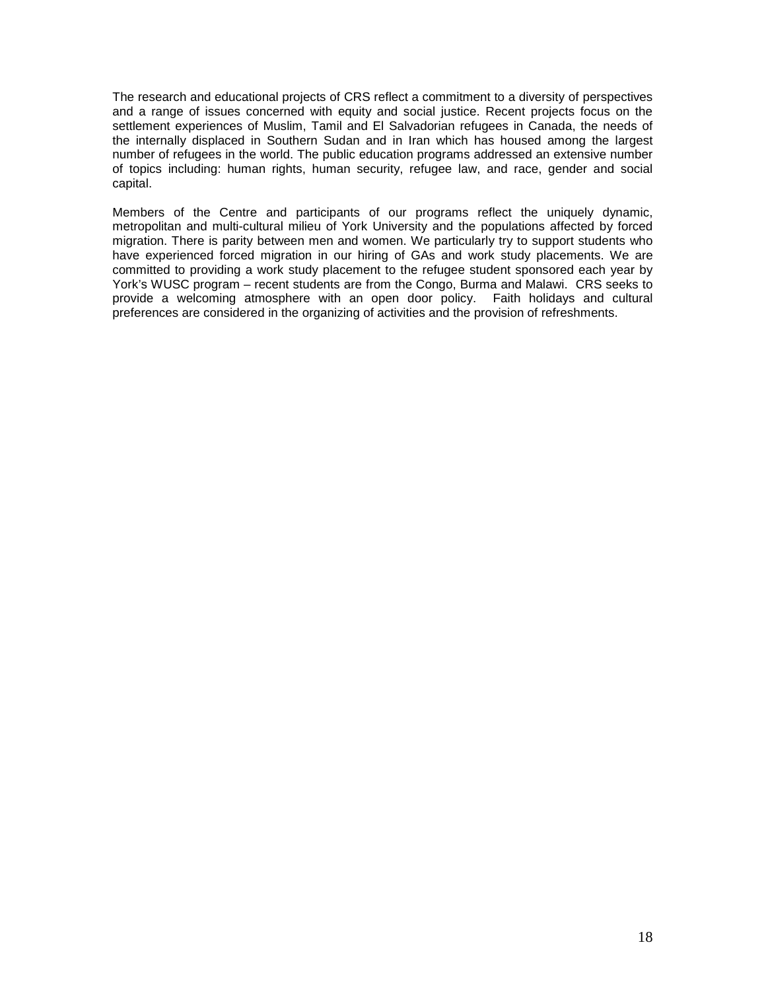The research and educational projects of CRS reflect a commitment to a diversity of perspectives and a range of issues concerned with equity and social justice. Recent projects focus on the settlement experiences of Muslim. Tamil and El Salvadorian refugees in Canada, the needs of the internally displaced in Southern Sudan and in Iran which has housed among the largest number of refugees in the world. The public education programs addressed an extensive number of topics including: human rights, human security, refugee law, and race, gender and social capital.

Members of the Centre and participants of our programs reflect the uniquely dynamic, metropolitan and multi-cultural milieu of York University and the populations affected by forced migration. There is parity between men and women. We particularly try to support students who have experienced forced migration in our hiring of GAs and work study placements. We are committed to providing a work study placement to the refugee student sponsored each year by York's WUSC program – recent students are from the Congo, Burma and Malawi. CRS seeks to provide a welcoming atmosphere with an open door policy. Faith holidays and cultural preferences are considered in the organizing of activities and the provision of refreshments.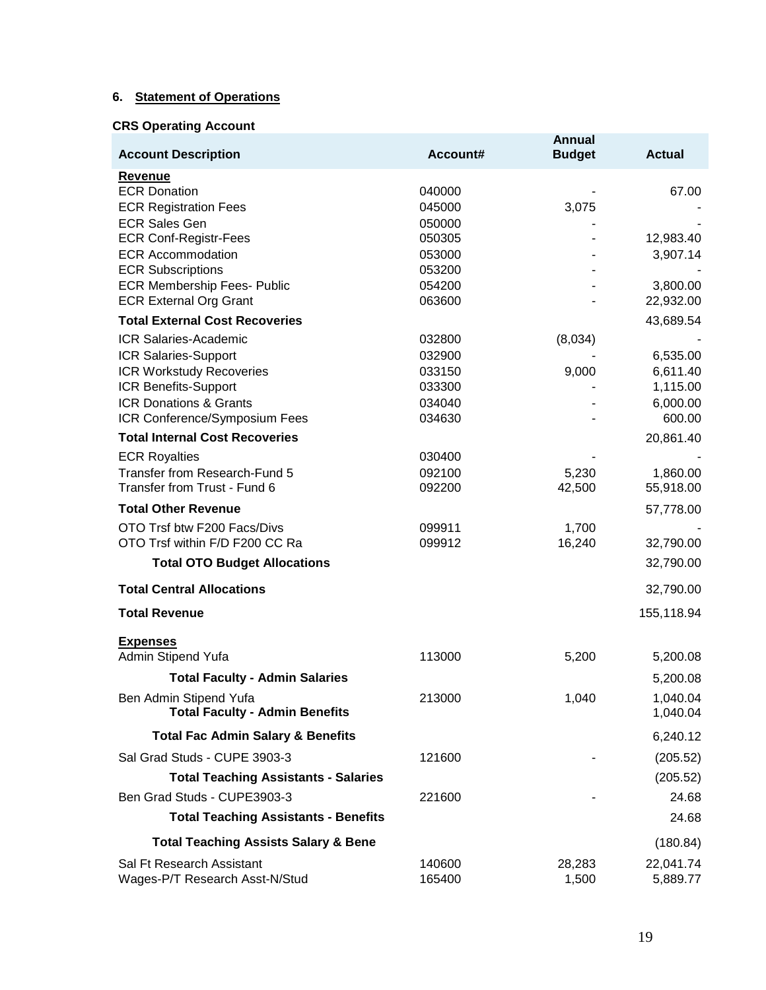## **6. Statement of Operations**

# **CRS Operating Account**

| <b>Account Description</b>                                      | Account#         | Annual<br><b>Budget</b> | <b>Actual</b>        |
|-----------------------------------------------------------------|------------------|-------------------------|----------------------|
| <b>Revenue</b>                                                  |                  |                         |                      |
| <b>ECR Donation</b>                                             | 040000           |                         | 67.00                |
| <b>ECR Registration Fees</b>                                    | 045000           | 3,075                   |                      |
| <b>ECR Sales Gen</b>                                            | 050000           |                         |                      |
| <b>ECR Conf-Registr-Fees</b>                                    | 050305           |                         | 12,983.40            |
| <b>ECR Accommodation</b>                                        | 053000           |                         | 3,907.14             |
| <b>ECR Subscriptions</b><br><b>ECR Membership Fees- Public</b>  | 053200<br>054200 |                         | 3,800.00             |
| <b>ECR External Org Grant</b>                                   | 063600           |                         | 22,932.00            |
| <b>Total External Cost Recoveries</b>                           |                  |                         | 43,689.54            |
| <b>ICR Salaries-Academic</b>                                    | 032800           | (8,034)                 |                      |
| ICR Salaries-Support                                            | 032900           |                         | 6,535.00             |
| <b>ICR Workstudy Recoveries</b>                                 | 033150           | 9,000                   | 6,611.40             |
| ICR Benefits-Support                                            | 033300           |                         | 1,115.00             |
| <b>ICR Donations &amp; Grants</b>                               | 034040           |                         | 6,000.00             |
| ICR Conference/Symposium Fees                                   | 034630           |                         | 600.00               |
| <b>Total Internal Cost Recoveries</b>                           |                  |                         | 20,861.40            |
| <b>ECR Royalties</b>                                            | 030400           |                         |                      |
| Transfer from Research-Fund 5                                   | 092100           | 5,230                   | 1,860.00             |
| Transfer from Trust - Fund 6                                    | 092200           | 42,500                  | 55,918.00            |
| <b>Total Other Revenue</b>                                      |                  |                         | 57,778.00            |
| OTO Trsf btw F200 Facs/Divs                                     | 099911           | 1,700                   |                      |
| OTO Trsf within F/D F200 CC Ra                                  | 099912           | 16,240                  | 32,790.00            |
| <b>Total OTO Budget Allocations</b>                             |                  |                         | 32,790.00            |
| <b>Total Central Allocations</b>                                |                  |                         | 32,790.00            |
| <b>Total Revenue</b>                                            |                  |                         | 155,118.94           |
| <b>Expenses</b>                                                 |                  |                         |                      |
| Admin Stipend Yufa                                              | 113000           | 5,200                   | 5,200.08             |
| <b>Total Faculty - Admin Salaries</b>                           |                  |                         | 5,200.08             |
| Ben Admin Stipend Yufa<br><b>Total Faculty - Admin Benefits</b> | 213000           | 1,040                   | 1,040.04<br>1,040.04 |
| <b>Total Fac Admin Salary &amp; Benefits</b>                    |                  |                         | 6,240.12             |
| Sal Grad Studs - CUPE 3903-3                                    | 121600           |                         | (205.52)             |
| <b>Total Teaching Assistants - Salaries</b>                     |                  |                         | (205.52)             |
| Ben Grad Studs - CUPE3903-3                                     | 221600           |                         | 24.68                |
| <b>Total Teaching Assistants - Benefits</b>                     |                  |                         | 24.68                |
| <b>Total Teaching Assists Salary &amp; Bene</b>                 |                  |                         | (180.84)             |
| Sal Ft Research Assistant                                       | 140600           | 28,283                  | 22,041.74            |
| Wages-P/T Research Asst-N/Stud                                  | 165400           | 1,500                   | 5,889.77             |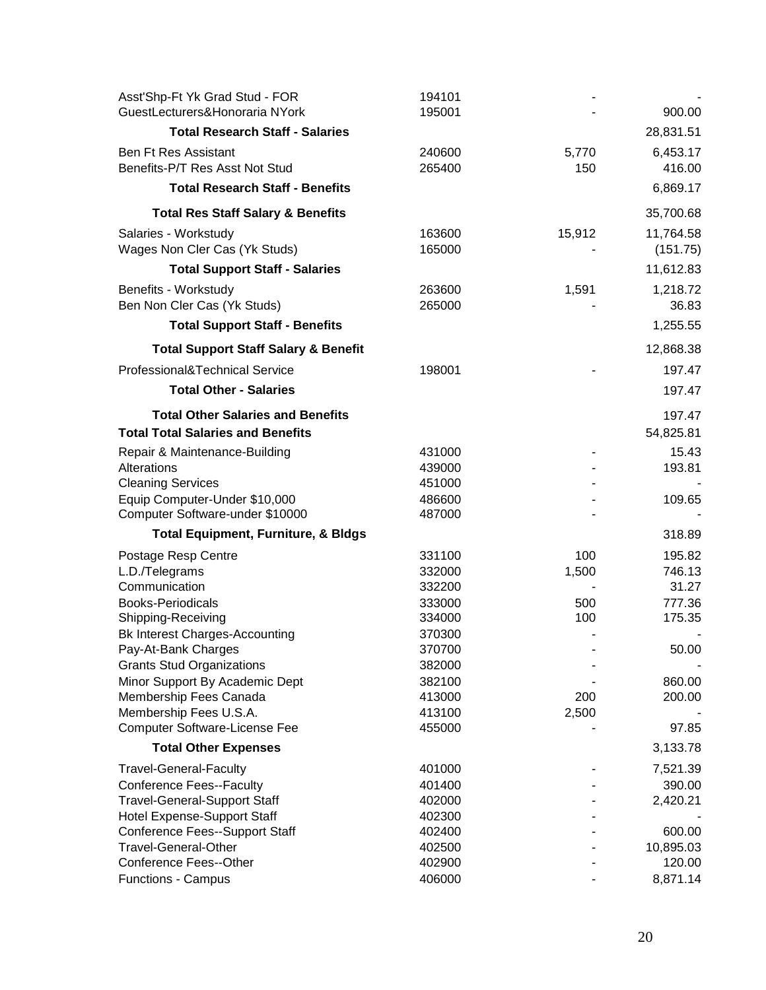| Asst'Shp-Ft Yk Grad Stud - FOR<br>GuestLecturers&Honoraria NYork | 194101<br>195001 |            | 900.00           |
|------------------------------------------------------------------|------------------|------------|------------------|
| <b>Total Research Staff - Salaries</b>                           |                  |            | 28,831.51        |
| <b>Ben Ft Res Assistant</b>                                      | 240600           | 5,770      | 6,453.17         |
| Benefits-P/T Res Asst Not Stud                                   | 265400           | 150        | 416.00           |
| <b>Total Research Staff - Benefits</b>                           |                  |            | 6,869.17         |
| <b>Total Res Staff Salary &amp; Benefits</b>                     |                  |            | 35,700.68        |
| Salaries - Workstudy                                             | 163600           | 15,912     | 11,764.58        |
| Wages Non Cler Cas (Yk Studs)                                    | 165000           |            | (151.75)         |
| <b>Total Support Staff - Salaries</b>                            |                  |            | 11,612.83        |
| Benefits - Workstudy                                             | 263600           | 1,591      | 1,218.72         |
| Ben Non Cler Cas (Yk Studs)                                      | 265000           |            | 36.83            |
| <b>Total Support Staff - Benefits</b>                            |                  |            | 1,255.55         |
| <b>Total Support Staff Salary &amp; Benefit</b>                  |                  |            | 12,868.38        |
| Professional&Technical Service                                   | 198001           |            | 197.47           |
| <b>Total Other - Salaries</b>                                    |                  |            | 197.47           |
| <b>Total Other Salaries and Benefits</b>                         |                  |            | 197.47           |
| <b>Total Total Salaries and Benefits</b>                         |                  |            | 54,825.81        |
| Repair & Maintenance-Building                                    | 431000           |            | 15.43            |
| Alterations                                                      | 439000           |            | 193.81           |
| <b>Cleaning Services</b>                                         | 451000           |            |                  |
| Equip Computer-Under \$10,000                                    | 486600           |            | 109.65           |
| Computer Software-under \$10000                                  | 487000           |            |                  |
| <b>Total Equipment, Furniture, &amp; Bldgs</b>                   |                  |            | 318.89           |
| Postage Resp Centre                                              | 331100           | 100        | 195.82           |
| L.D./Telegrams                                                   | 332000           | 1,500      | 746.13           |
| Communication                                                    | 332200           |            | 31.27            |
| <b>Books-Periodicals</b><br>Shipping-Receiving                   | 333000<br>334000 | 500<br>100 | 777.36<br>175.35 |
| <b>Bk Interest Charges-Accounting</b>                            | 370300           |            |                  |
| Pay-At-Bank Charges                                              | 370700           |            | 50.00            |
| <b>Grants Stud Organizations</b>                                 | 382000           |            |                  |
| Minor Support By Academic Dept                                   | 382100           |            | 860.00           |
| Membership Fees Canada                                           | 413000           | 200        | 200.00           |
| Membership Fees U.S.A.                                           | 413100           | 2,500      |                  |
| <b>Computer Software-License Fee</b>                             | 455000           |            | 97.85            |
| <b>Total Other Expenses</b>                                      |                  |            | 3,133.78         |
| <b>Travel-General-Faculty</b>                                    | 401000           |            | 7,521.39         |
| <b>Conference Fees--Faculty</b>                                  | 401400           |            | 390.00           |
| <b>Travel-General-Support Staff</b>                              | 402000           |            | 2,420.21         |
| <b>Hotel Expense-Support Staff</b>                               | 402300           |            |                  |
| <b>Conference Fees--Support Staff</b>                            | 402400           |            | 600.00           |
| Travel-General-Other                                             | 402500           |            | 10,895.03        |
| Conference Fees--Other                                           | 402900<br>406000 |            | 120.00           |
| <b>Functions - Campus</b>                                        |                  |            | 8,871.14         |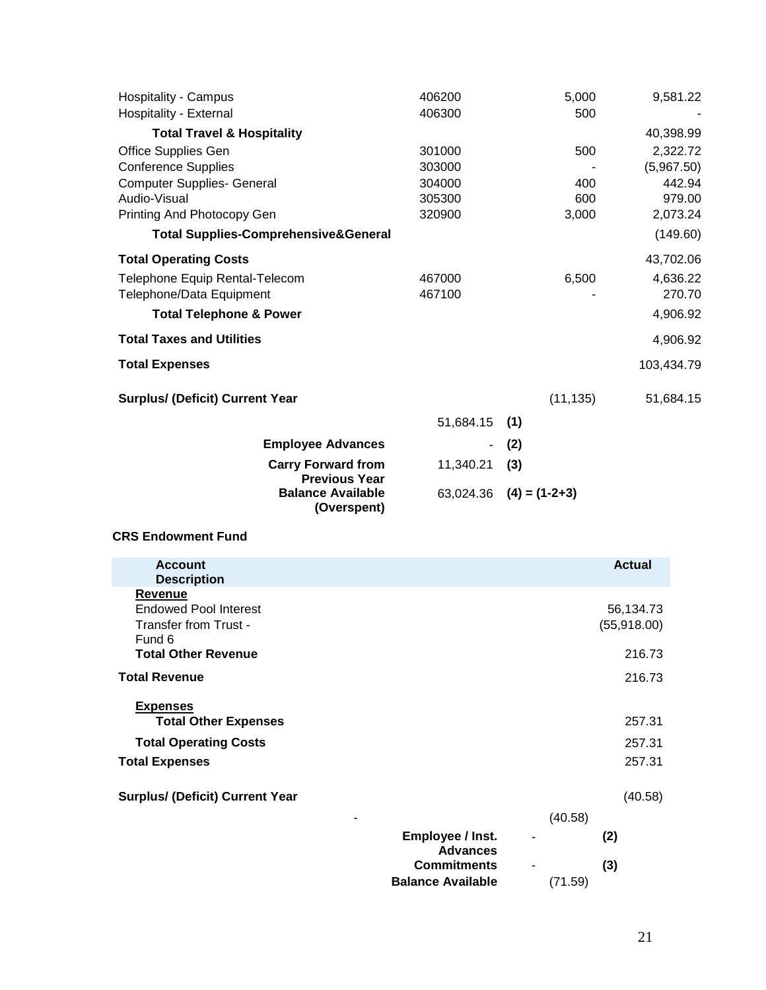| <b>Hospitality - Campus</b><br>Hospitality - External | 406200<br>406300 | 5,000<br>500    | 9,581.22   |
|-------------------------------------------------------|------------------|-----------------|------------|
| <b>Total Travel &amp; Hospitality</b>                 |                  |                 | 40,398.99  |
| <b>Office Supplies Gen</b>                            | 301000           | 500             | 2,322.72   |
| <b>Conference Supplies</b>                            | 303000           |                 | (5,967.50) |
| <b>Computer Supplies- General</b>                     | 304000           | 400             | 442.94     |
| Audio-Visual                                          | 305300           | 600             | 979.00     |
| Printing And Photocopy Gen                            | 320900           | 3,000           | 2,073.24   |
| <b>Total Supplies-Comprehensive&amp;General</b>       |                  |                 | (149.60)   |
| <b>Total Operating Costs</b>                          |                  |                 | 43,702.06  |
| Telephone Equip Rental-Telecom                        | 467000           | 6,500           | 4,636.22   |
| Telephone/Data Equipment                              | 467100           |                 | 270.70     |
| <b>Total Telephone &amp; Power</b>                    |                  |                 | 4,906.92   |
| <b>Total Taxes and Utilities</b>                      |                  |                 | 4,906.92   |
| <b>Total Expenses</b>                                 |                  |                 | 103,434.79 |
| <b>Surplus/ (Deficit) Current Year</b>                |                  | (11, 135)       | 51,684.15  |
|                                                       | 51,684.15        | (1)             |            |
| <b>Employee Advances</b>                              |                  | (2)             |            |
| <b>Carry Forward from</b><br><b>Previous Year</b>     | 11,340.21        | (3)             |            |
| <b>Balance Available</b><br>(Overspent)               | 63,024.36        | $(4) = (1-2+3)$ |            |

## **CRS Endowment Fund**

| <b>Account</b>                                                                                   |                                                                   |         | <b>Actual</b>            |
|--------------------------------------------------------------------------------------------------|-------------------------------------------------------------------|---------|--------------------------|
| <b>Description</b><br>Revenue<br><b>Endowed Pool Interest</b><br>Transfer from Trust -<br>Fund 6 |                                                                   |         | 56,134.73<br>(55,918.00) |
| <b>Total Other Revenue</b>                                                                       |                                                                   |         | 216.73                   |
| <b>Total Revenue</b>                                                                             |                                                                   |         | 216.73                   |
| <b>Expenses</b><br><b>Total Other Expenses</b><br><b>Total Operating Costs</b>                   |                                                                   |         | 257.31<br>257.31         |
| <b>Total Expenses</b>                                                                            |                                                                   |         | 257.31                   |
| <b>Surplus/ (Deficit) Current Year</b><br>-                                                      |                                                                   | (40.58) | (40.58)                  |
|                                                                                                  | Employee / Inst.                                                  |         | (2)                      |
|                                                                                                  | <b>Advances</b><br><b>Commitments</b><br><b>Balance Available</b> | (71.59) | (3)                      |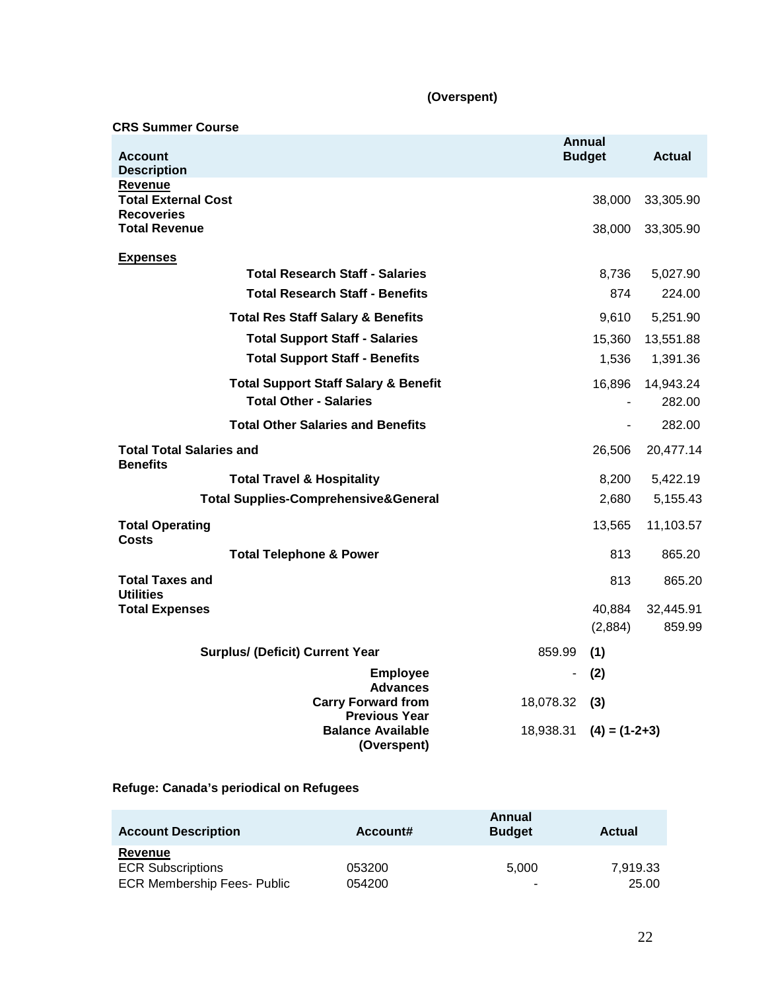## **(Overspent)**

## **CRS Summer Course**

| <b>Account</b>                                     |                                                                 |                | <b>Annual</b><br><b>Budget</b> | <b>Actual</b> |
|----------------------------------------------------|-----------------------------------------------------------------|----------------|--------------------------------|---------------|
| <b>Description</b><br><b>Revenue</b>               |                                                                 |                |                                |               |
| <b>Total External Cost</b><br><b>Recoveries</b>    |                                                                 |                | 38,000                         | 33,305.90     |
| <b>Total Revenue</b>                               |                                                                 |                | 38,000                         | 33,305.90     |
| <b>Expenses</b>                                    |                                                                 |                |                                |               |
|                                                    | <b>Total Research Staff - Salaries</b>                          |                | 8,736                          | 5,027.90      |
|                                                    | <b>Total Research Staff - Benefits</b>                          |                | 874                            | 224.00        |
|                                                    | <b>Total Res Staff Salary &amp; Benefits</b>                    |                | 9,610                          | 5,251.90      |
|                                                    | <b>Total Support Staff - Salaries</b>                           |                | 15,360                         | 13,551.88     |
|                                                    | <b>Total Support Staff - Benefits</b>                           |                | 1,536                          | 1,391.36      |
|                                                    | <b>Total Support Staff Salary &amp; Benefit</b>                 |                | 16,896                         | 14,943.24     |
|                                                    | <b>Total Other - Salaries</b>                                   |                |                                | 282.00        |
|                                                    | <b>Total Other Salaries and Benefits</b>                        |                | $\sim$                         | 282.00        |
| <b>Total Total Salaries and</b><br><b>Benefits</b> |                                                                 |                | 26,506                         | 20,477.14     |
|                                                    | <b>Total Travel &amp; Hospitality</b>                           |                | 8,200                          | 5,422.19      |
|                                                    | <b>Total Supplies-Comprehensive&amp;General</b>                 |                | 2,680                          | 5,155.43      |
| <b>Total Operating</b><br><b>Costs</b>             |                                                                 |                | 13,565                         | 11,103.57     |
|                                                    | <b>Total Telephone &amp; Power</b>                              |                | 813                            | 865.20        |
| <b>Total Taxes and</b><br><b>Utilities</b>         |                                                                 |                | 813                            | 865.20        |
| <b>Total Expenses</b>                              |                                                                 |                | 40,884                         | 32,445.91     |
|                                                    |                                                                 |                | (2,884)                        | 859.99        |
|                                                    | <b>Surplus/ (Deficit) Current Year</b>                          | 859.99         | (1)                            |               |
|                                                    | <b>Employee</b><br><b>Advances</b>                              | $\blacksquare$ | (2)                            |               |
|                                                    | <b>Carry Forward from</b>                                       | 18,078.32      | (3)                            |               |
|                                                    | <b>Previous Year</b><br><b>Balance Available</b><br>(Overspent) | 18,938.31      | $(4) = (1-2+3)$                |               |

# **Refuge: Canada's periodical on Refugees**

| <b>Account Description</b>         | Account# | Annual<br><b>Budget</b> | <b>Actual</b> |
|------------------------------------|----------|-------------------------|---------------|
| Revenue                            |          |                         |               |
| <b>ECR Subscriptions</b>           | 053200   | 5.000                   | 7.919.33      |
| <b>ECR Membership Fees- Public</b> | 054200   | ۰                       | 25.00         |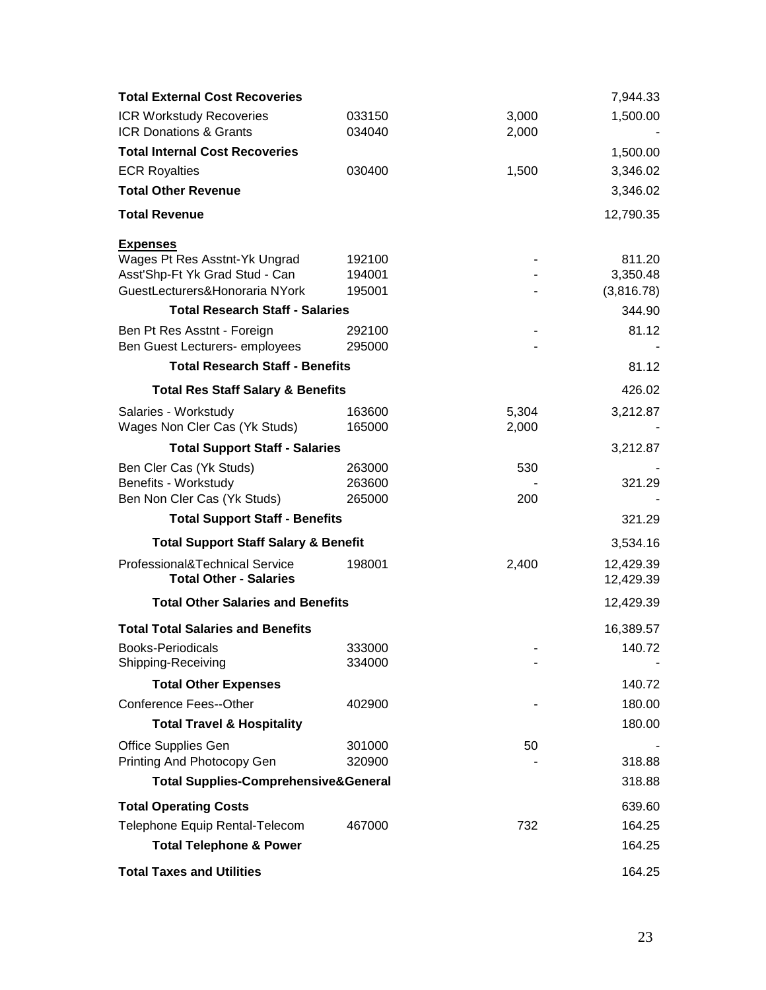| <b>Total External Cost Recoveries</b>                           |        |       | 7,944.33               |
|-----------------------------------------------------------------|--------|-------|------------------------|
| <b>ICR Workstudy Recoveries</b>                                 | 033150 | 3,000 | 1,500.00               |
| <b>ICR Donations &amp; Grants</b>                               | 034040 | 2,000 |                        |
| <b>Total Internal Cost Recoveries</b>                           |        |       | 1,500.00               |
| <b>ECR Royalties</b>                                            | 030400 | 1,500 | 3,346.02               |
| <b>Total Other Revenue</b>                                      |        |       | 3,346.02               |
| <b>Total Revenue</b>                                            |        |       | 12,790.35              |
| <b>Expenses</b>                                                 |        |       |                        |
| Wages Pt Res Asstnt-Yk Ungrad                                   | 192100 |       | 811.20                 |
| Asst'Shp-Ft Yk Grad Stud - Can                                  | 194001 |       | 3,350.48               |
| GuestLecturers&Honoraria NYork                                  | 195001 |       | (3,816.78)             |
| <b>Total Research Staff - Salaries</b>                          |        |       | 344.90                 |
| Ben Pt Res Asstnt - Foreign                                     | 292100 |       | 81.12                  |
| Ben Guest Lecturers- employees                                  | 295000 |       |                        |
| <b>Total Research Staff - Benefits</b>                          |        |       | 81.12                  |
| <b>Total Res Staff Salary &amp; Benefits</b>                    |        |       | 426.02                 |
| Salaries - Workstudy                                            | 163600 | 5,304 | 3,212.87               |
| Wages Non Cler Cas (Yk Studs)                                   | 165000 | 2,000 |                        |
| <b>Total Support Staff - Salaries</b>                           |        |       | 3,212.87               |
| Ben Cler Cas (Yk Studs)                                         | 263000 | 530   |                        |
| Benefits - Workstudy                                            | 263600 |       | 321.29                 |
| Ben Non Cler Cas (Yk Studs)                                     | 265000 | 200   |                        |
| <b>Total Support Staff - Benefits</b>                           |        |       | 321.29                 |
| <b>Total Support Staff Salary &amp; Benefit</b>                 |        |       | 3,534.16               |
| Professional&Technical Service<br><b>Total Other - Salaries</b> | 198001 | 2,400 | 12,429.39<br>12,429.39 |
| <b>Total Other Salaries and Benefits</b>                        |        |       | 12,429.39              |
| <b>Total Total Salaries and Benefits</b>                        |        |       | 16,389.57              |
| Books-Periodicals                                               | 333000 |       | 140.72                 |
| Shipping-Receiving                                              | 334000 |       |                        |
| <b>Total Other Expenses</b>                                     |        |       | 140.72                 |
| <b>Conference Fees--Other</b>                                   | 402900 |       | 180.00                 |
| <b>Total Travel &amp; Hospitality</b>                           |        |       | 180.00                 |
| <b>Office Supplies Gen</b>                                      | 301000 | 50    |                        |
| Printing And Photocopy Gen                                      | 320900 |       | 318.88                 |
| <b>Total Supplies-Comprehensive&amp;General</b>                 |        |       | 318.88                 |
| <b>Total Operating Costs</b>                                    |        |       | 639.60                 |
| Telephone Equip Rental-Telecom                                  | 467000 | 732   | 164.25                 |
| <b>Total Telephone &amp; Power</b>                              |        |       | 164.25                 |
| <b>Total Taxes and Utilities</b>                                |        |       | 164.25                 |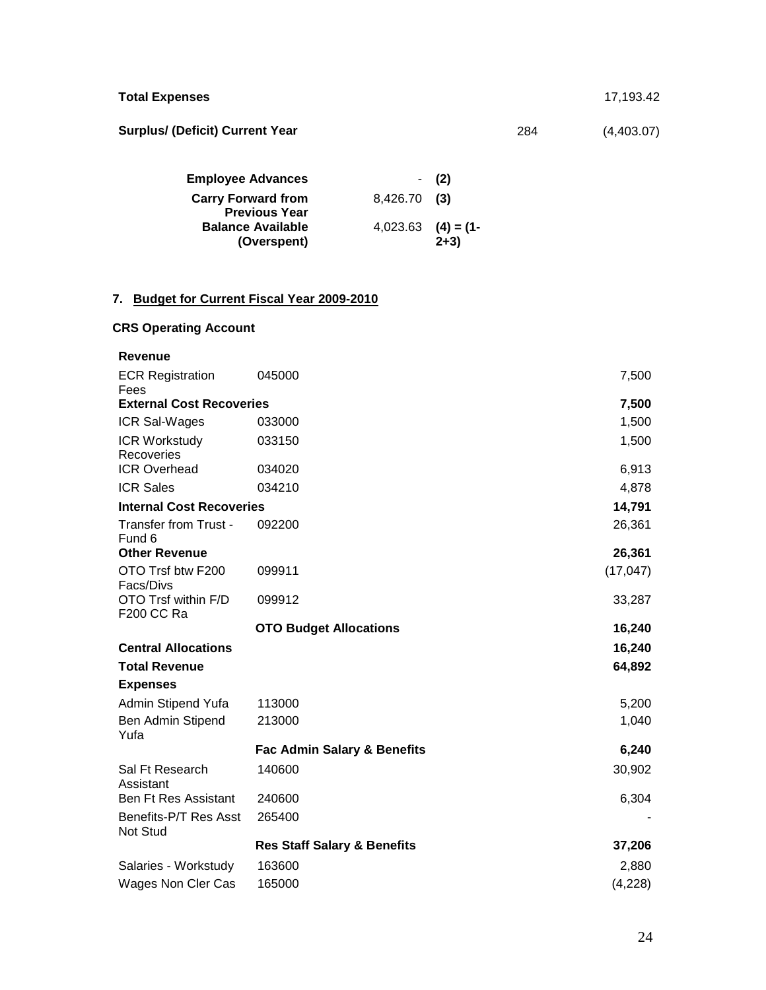| <b>Total Expenses</b>                  |     | 17,193.42  |
|----------------------------------------|-----|------------|
| <b>Surplus/ (Deficit) Current Year</b> | 284 | (4,403.07) |

| <b>Employee Advances</b>  |                         | $-$ (2) |
|---------------------------|-------------------------|---------|
| <b>Carry Forward from</b> | $8,426.70$ (3)          |         |
| <b>Previous Year</b>      |                         |         |
| <b>Balance Available</b>  | $4,023.63$ $(4) = (1 -$ |         |
| (Overspent)               |                         | $2+3)$  |

# **7. Budget for Current Fiscal Year 2009-2010**

# **CRS Operating Account**

| <b>Revenue</b>                     |                                        |           |
|------------------------------------|----------------------------------------|-----------|
| <b>ECR Registration</b><br>Fees    | 045000                                 | 7,500     |
| <b>External Cost Recoveries</b>    |                                        | 7,500     |
| <b>ICR Sal-Wages</b>               | 033000                                 | 1,500     |
| <b>ICR Workstudy</b><br>Recoveries | 033150                                 | 1,500     |
| <b>ICR Overhead</b>                | 034020                                 | 6,913     |
| <b>ICR Sales</b>                   | 034210                                 | 4,878     |
| <b>Internal Cost Recoveries</b>    |                                        | 14,791    |
| Transfer from Trust -<br>Fund 6    | 092200                                 | 26,361    |
| <b>Other Revenue</b>               |                                        | 26,361    |
| OTO Trsf btw F200<br>Facs/Divs     | 099911                                 | (17, 047) |
| OTO Trsf within F/D<br>F200 CC Ra  | 099912                                 | 33,287    |
|                                    | <b>OTO Budget Allocations</b>          | 16,240    |
| <b>Central Allocations</b>         |                                        | 16,240    |
| <b>Total Revenue</b>               |                                        | 64,892    |
| <b>Expenses</b>                    |                                        |           |
| Admin Stipend Yufa                 | 113000                                 | 5,200     |
| Ben Admin Stipend<br>Yufa          | 213000                                 | 1,040     |
|                                    | <b>Fac Admin Salary &amp; Benefits</b> | 6,240     |
| Sal Ft Research<br>Assistant       | 140600                                 | 30,902    |
| <b>Ben Ft Res Assistant</b>        | 240600                                 | 6,304     |
| Benefits-P/T Res Asst<br>Not Stud  | 265400                                 |           |
|                                    | <b>Res Staff Salary &amp; Benefits</b> | 37,206    |
| Salaries - Workstudy               | 163600                                 | 2,880     |
| Wages Non Cler Cas                 | 165000                                 | (4,228)   |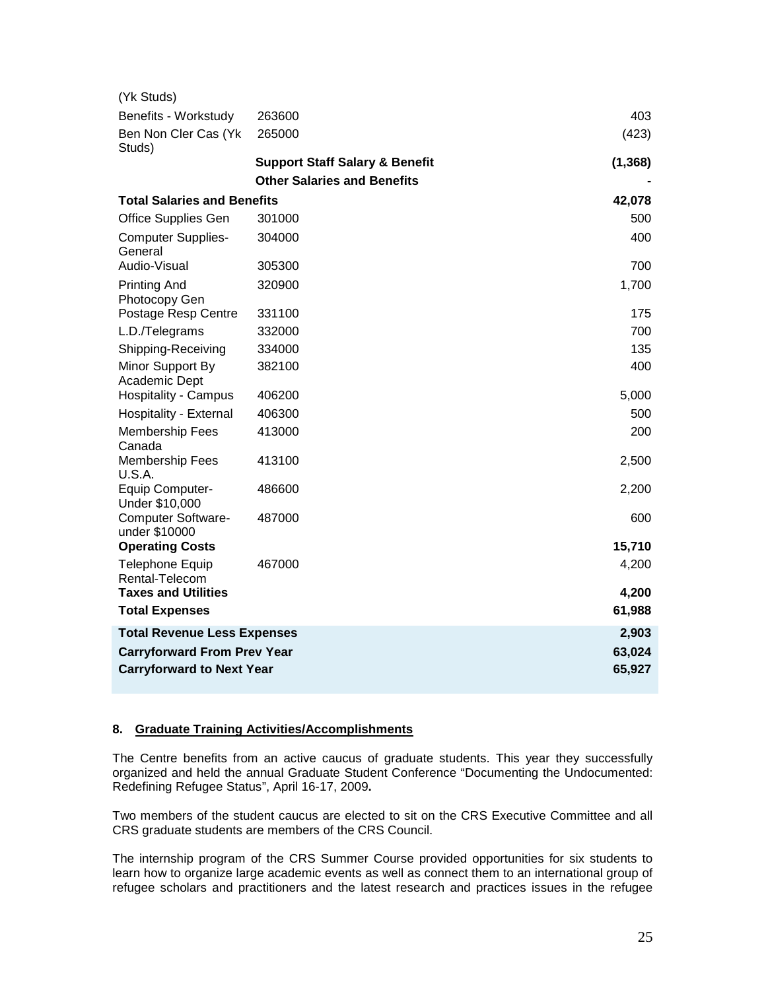| (Yk Studs)                                 |                                           |          |
|--------------------------------------------|-------------------------------------------|----------|
| Benefits - Workstudy                       | 263600                                    | 403      |
| Ben Non Cler Cas (Yk<br>Studs)             | 265000                                    | (423)    |
|                                            | <b>Support Staff Salary &amp; Benefit</b> | (1, 368) |
|                                            | <b>Other Salaries and Benefits</b>        |          |
| <b>Total Salaries and Benefits</b>         |                                           | 42,078   |
| <b>Office Supplies Gen</b>                 | 301000                                    | 500      |
| <b>Computer Supplies-</b><br>General       | 304000                                    | 400      |
| Audio-Visual                               | 305300                                    | 700      |
| <b>Printing And</b><br>Photocopy Gen       | 320900                                    | 1,700    |
| Postage Resp Centre                        | 331100                                    | 175      |
| L.D./Telegrams                             | 332000                                    | 700      |
| Shipping-Receiving                         | 334000                                    | 135      |
| Minor Support By<br>Academic Dept          | 382100                                    | 400      |
| <b>Hospitality - Campus</b>                | 406200                                    | 5,000    |
| Hospitality - External                     | 406300                                    | 500      |
| <b>Membership Fees</b><br>Canada           | 413000                                    | 200      |
| <b>Membership Fees</b><br><b>U.S.A.</b>    | 413100                                    | 2,500    |
| Equip Computer-<br>Under \$10,000          | 486600                                    | 2,200    |
| <b>Computer Software-</b><br>under \$10000 | 487000                                    | 600      |
| <b>Operating Costs</b>                     |                                           | 15,710   |
| <b>Telephone Equip</b><br>Rental-Telecom   | 467000                                    | 4,200    |
| <b>Taxes and Utilities</b>                 |                                           | 4,200    |
| <b>Total Expenses</b>                      |                                           | 61,988   |
| <b>Total Revenue Less Expenses</b>         |                                           | 2,903    |
| <b>Carryforward From Prev Year</b>         |                                           | 63,024   |
| <b>Carryforward to Next Year</b>           | 65,927                                    |          |

#### **8. Graduate Training Activities/Accomplishments**

The Centre benefits from an active caucus of graduate students. This year they successfully organized and held the annual Graduate Student Conference "Documenting the Undocumented: Redefining Refugee Status", April 16-17, 2009**.** 

Two members of the student caucus are elected to sit on the CRS Executive Committee and all CRS graduate students are members of the CRS Council.

The internship program of the CRS Summer Course provided opportunities for six students to learn how to organize large academic events as well as connect them to an international group of refugee scholars and practitioners and the latest research and practices issues in the refugee